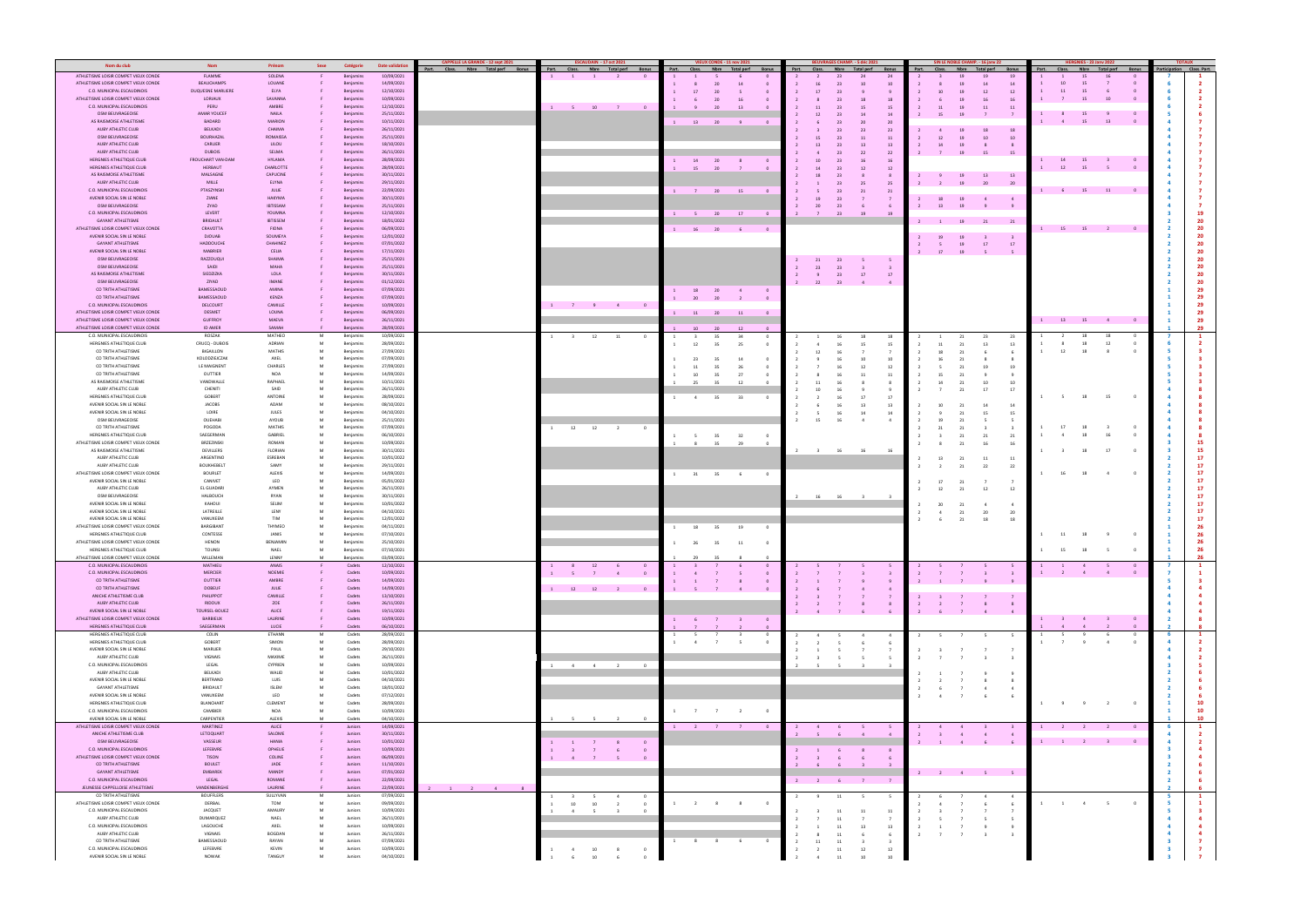| Nom du club                                                                  | <b>Nom</b>                                | Prénom                          | <b>Sexe</b> | Catégor<br><b>Date validation</b>                                   | <b>CAPPELLE LA GRANDE - 12 sept 2021</b><br>Part. Class. Nbre Total perf Bonus | <b>ESCAUDAIN - 17 oct 2021</b><br>Part. Class. Nbre Total perf<br><b>Bonus</b> | VIEUX CONDE - 11 nov 2021<br>Part. Class. Nbre Total perf<br><b>Bonus</b> | BEUVRAGES CHAMP. - 5 déc 2021<br>Part. Class. Nbre Total perf Bonus | SIN LE NOBLE CHAMP. - 16 jany 22<br>Part. Class. Nbre Total perf<br><b>Bonus</b> | HERGNIES - 23 Jany 2022<br>Part. Class. Nbre Total perf Bonus | <b>TOTAUX</b><br>Participation Class. Part. |
|------------------------------------------------------------------------------|-------------------------------------------|---------------------------------|-------------|---------------------------------------------------------------------|--------------------------------------------------------------------------------|--------------------------------------------------------------------------------|---------------------------------------------------------------------------|---------------------------------------------------------------------|----------------------------------------------------------------------------------|---------------------------------------------------------------|---------------------------------------------|
| ATHLETISME LOISIR COMPET VIEUX CONDE                                         | FLAMME                                    | SOLENA                          |             | 10/09/2021<br>Benjamins                                             |                                                                                |                                                                                |                                                                           |                                                                     | 19<br>19                                                                         | 15                                                            |                                             |
| ATHLETISME LOISIR COMPET VIEUX CONDE<br>C.O. MUNICIPAL ESCAUDINOIS           | <b>BEAUCHAMPS</b><br>DUQUESNE MARLIERE    | LOUANE<br><b>ELYA</b>           |             | 14/09/2021<br>Benjamins<br>12/10/2021<br>Benjamins                  |                                                                                |                                                                                |                                                                           |                                                                     |                                                                                  |                                                               |                                             |
| ATHLETISME LOISIR COMPET VIEUX CONDE                                         | LORIAUX                                   | SAVANNA                         |             | 10/09/2021<br>Benjamins                                             |                                                                                |                                                                                |                                                                           |                                                                     |                                                                                  |                                                               |                                             |
| C.O. MUNICIPAL ESCAUDINOIS<br><b>OSM BEUVRAGEOISE</b>                        | PERU<br><b>AMAR YOUCEF</b>                | AMBRE<br><b>NAILA</b>           |             | 12/10/2021<br>Benjamins<br>25/11/2021<br>Benjamins                  |                                                                                | 10 <sup>1</sup>                                                                |                                                                           |                                                                     |                                                                                  |                                                               |                                             |
| AS RAISMOISE ATHLETISME                                                      | BADARD                                    | <b>MARION</b>                   |             | 10/11/2021<br>Benjamins                                             |                                                                                |                                                                                | -13                                                                       |                                                                     |                                                                                  |                                                               |                                             |
| <b>AUBY ATHLETIC CLUB</b><br><b>OSM BEUVRAGEOISE</b>                         | BELKADI<br><b>BOURHAZAL</b>               | <b>CHAIMA</b><br>ROMAISSA       |             | 26/11/2021<br>Benjamins<br>25/11/2021<br>Benjamins                  |                                                                                |                                                                                |                                                                           |                                                                     | 18<br>-18                                                                        |                                                               |                                             |
| <b>AUBY ATHLETIC CLUB</b>                                                    | <b>CARLIER</b>                            | <b>LILOU</b>                    |             | 18/10/2021<br>Benjamins                                             |                                                                                |                                                                                |                                                                           |                                                                     |                                                                                  |                                                               |                                             |
| <b>AUBY ATHLETIC CLUB</b><br>HERGNIES ATHLETIQUE CLUB                        | <b>DUBOIS</b><br><b>FROUCHART VAN-DAM</b> | SELMA<br>HYLAMA                 |             | 26/11/2021<br>Benjamins<br>28/09/2021<br>Benjamins                  |                                                                                |                                                                                |                                                                           |                                                                     | 15                                                                               | - 15                                                          |                                             |
| HERGNIES ATHLETIQUE CLUB                                                     | HERBAUT                                   | CHARLOTTE                       |             | 28/09/2021<br>Benjamins                                             |                                                                                |                                                                                |                                                                           |                                                                     |                                                                                  |                                                               |                                             |
| AS RAISMOISE ATHLETISME<br><b>AUBY ATHLETIC CLUB</b>                         | MALSAGNE<br><b>MILLE</b>                  | CAPUCINE<br>ELYNA               |             | 30/11/2021<br>Benjamins<br>29/11/2021<br>Benjamins                  |                                                                                |                                                                                |                                                                           |                                                                     | 13<br>13<br>20                                                                   |                                                               |                                             |
| C.O. MUNICIPAL ESCAUDINOIS                                                   | PTASZYNSKI                                | <b>JULIE</b>                    |             | 22/09/2021<br>Benjamins                                             |                                                                                |                                                                                | 20<br>15                                                                  |                                                                     |                                                                                  | 11<br>15                                                      |                                             |
| AVENIR SOCIAL SIN LE NOBLE<br><b>OSM BEUVRAGEOISE</b>                        | ZIANE<br>ZYAD                             | HAKYMA<br><b>IBTISSAM</b>       |             | 30/11/2021<br>Benjamins<br>25/11/2021<br>Benjamins                  |                                                                                |                                                                                |                                                                           |                                                                     |                                                                                  |                                                               |                                             |
| C.O. MUNICIPAL ESCAUDINOIS                                                   | LEVERT                                    | YOUMNA                          |             | 12/10/2021<br>Benjamins                                             |                                                                                |                                                                                | 17<br>ว∩∶                                                                 |                                                                     |                                                                                  |                                                               |                                             |
| <b>GAYANT ATHLETISME</b><br>ATHLETISME LOISIR COMPET VIEUX CONDE             | <b>BRIDAULT</b><br><b>CRAVOTTA</b>        | <b>IBTISSEM</b><br><b>FIONA</b> |             | 18/01/2022<br>Benjamins<br>06/09/2021<br>Benjamins                  |                                                                                |                                                                                | 20<br>16<br>$\overline{0}$                                                |                                                                     | 21<br>19<br>21                                                                   | 15<br>15                                                      |                                             |
| AVENIR SOCIAL SIN LE NOBLE                                                   | <b>DJOUAB</b>                             | SOUMEYA                         |             | 12/01/2022<br>Benjamins                                             |                                                                                |                                                                                |                                                                           |                                                                     | 19                                                                               |                                                               |                                             |
| <b>GAYANT ATHLETISME</b><br>AVENIR SOCIAL SIN LE NOBLE                       | HADDOUCHE<br><b>MABRIER</b>               | CHAHINEZ<br><b>CELIA</b>        |             | 07/01/2022<br>Benjamins<br>$0.70 + 20.2$<br>17/11/2021<br>Benjamins |                                                                                |                                                                                |                                                                           |                                                                     | 19<br>17<br>17<br>17 19<br>$\overline{2}$                                        |                                                               |                                             |
| <b>OSM BEUVRAGEOISE</b>                                                      | RAZZOUQUI                                 | SHAIMA                          |             | 25/11/2021<br>Benjamins                                             |                                                                                |                                                                                |                                                                           | 21<br>23                                                            |                                                                                  |                                                               |                                             |
| <b>OSM BEUVRAGEOISE</b><br>AS RAISMOISE ATHLETISME                           | SAIDI<br>SIEDZIZKA                        | <b>MAHA</b><br>LOLA             |             | 25/11/2021<br>Benjamins<br>30/11/2021<br>Benjamins                  |                                                                                |                                                                                |                                                                           |                                                                     |                                                                                  |                                                               |                                             |
| OSM BEUVRAGEOISE                                                             | ZIYAD                                     | <b>IMANE</b>                    |             | 01/12/2021<br>Benjamins                                             |                                                                                |                                                                                |                                                                           | 23<br>22                                                            |                                                                                  |                                                               |                                             |
| CO TRITH ATHLETISME<br>CO TRITH ATHLETISME                                   | BAMESSAOUD<br>BAMESSAOUD                  | AMINA<br>KENZA                  |             | 07/09/2021<br>Benjamins<br>07/09/2021<br>Benjamins                  |                                                                                |                                                                                | 20<br>-18<br>20<br>20                                                     |                                                                     |                                                                                  |                                                               |                                             |
| C.O. MUNICIPAL ESCAUDINOIS                                                   | <b>DELCOURT</b>                           | CAMILLE                         |             | 10/09/2021<br>Benjamins                                             |                                                                                | 7 9 4 0                                                                        |                                                                           |                                                                     |                                                                                  |                                                               |                                             |
| ATHLETISME LOISIR COMPET VIEUX CONDE<br>ATHLETISME LOISIR COMPET VIEUX CONDE | <b>DESMET</b><br><b>GUFFROY</b>           | LOUNA<br><b>MAEVA</b>           |             | 06/09/2021<br>Benjamins<br>26/11/2021<br>Benjamins                  |                                                                                |                                                                                | 11<br>20<br>11                                                            |                                                                     |                                                                                  | 15<br>13                                                      |                                             |
| ATHLETISME LOISIR COMPET VIEUX CONDE                                         | <b>ID AMER</b>                            | SAMAH                           |             | 28/09/2021<br>Benjamins                                             |                                                                                |                                                                                | 20<br>12<br>10                                                            |                                                                     |                                                                                  |                                                               | 29                                          |
| C.O. MUNICIPAL ESCAUDINOIS<br>HERGNIES ATHLETIQUE CLUB                       | ROSZAK<br>CRUCQ - DUBOIS                  | MATHEO<br>ADRIAN                | M<br>M      | 10/09/2021<br>Benjamins<br>28/09/2021<br>Benjamins                  |                                                                                | 12                                                                             |                                                                           |                                                                     | 23                                                                               |                                                               |                                             |
| CO TRITH ATHLETISME                                                          | <b>BIGAILLON</b>                          | <b>MATHIS</b>                   | M           | 27/09/2021<br>Benjamins                                             |                                                                                |                                                                                |                                                                           |                                                                     |                                                                                  | 18                                                            |                                             |
| CO TRITH ATHLETISME<br>CO TRITH ATHLETISME                                   | KOLODZIEJCZAK<br>LE MAIGNENT              | AXEL<br>CHARLES                 | M<br>M      | 07/09/2021<br>Benjamins<br>27/09/2021<br>Benjamins                  |                                                                                |                                                                                | 14                                                                        |                                                                     | 19                                                                               |                                                               |                                             |
| CO TRITH ATHLETISME                                                          | <b>OUTTIER</b>                            | <b>NOA</b>                      | M           | 14/09/2021<br>Benjamins                                             |                                                                                |                                                                                |                                                                           |                                                                     |                                                                                  |                                                               |                                             |
| AS RAISMOISE ATHLETISME<br><b>AUBY ATHLETIC CLUB</b>                         | VANDWALLE<br><b>CHENITI</b>               | RAPHAEL<br>SAID                 | M<br>M      | 10/11/2021<br>Benjamins<br>26/11/2021<br>Benjamins                  |                                                                                |                                                                                |                                                                           |                                                                     | 17                                                                               |                                                               |                                             |
| HERGNIES ATHLETIQUE CLUB                                                     | <b>GOBERT</b>                             | <b>ANTOINE</b>                  | M           | 28/09/2021<br>Benjamins                                             |                                                                                |                                                                                | 33                                                                        |                                                                     |                                                                                  |                                                               |                                             |
| AVENIR SOCIAL SIN LE NOBLE<br>AVENIR SOCIAL SIN LE NOBLE                     | <b>JACOBS</b><br>LOIRE                    | ADAM<br><b>JULES</b>            | M           | 08/10/2021<br>Benjamins<br>04/10/2021<br>Benjamins                  |                                                                                |                                                                                |                                                                           |                                                                     | 14                                                                               |                                                               |                                             |
| OSM BEUVRAGEOISE                                                             | OUEHABI                                   | <b>AYOUB</b>                    |             | 25/11/2021<br>Benjamins                                             |                                                                                |                                                                                |                                                                           | 15<br>16                                                            | 15                                                                               |                                                               |                                             |
| CO TRITH ATHLETISME<br>HERGNIES ATHLETIQUE CLUB                              | POGODA<br>SAEGERMAN                       | <b>MATHIS</b><br><b>GABRIEL</b> |             | 07/09/2021<br>Benjamins<br>06/10/2021<br><b>Benjamins</b>           |                                                                                | 12<br>12                                                                       |                                                                           |                                                                     |                                                                                  |                                                               |                                             |
| ATHLETISME LOISIR COMPET VIEUX CONDE                                         | BRZEZINSKI                                | ROMAN                           |             | 10/09/2021<br>Benjamins                                             |                                                                                |                                                                                | 32<br>35<br>29<br>35                                                      |                                                                     | 21<br>16<br>16                                                                   |                                                               |                                             |
| AS RAISMOISE ATHLETISME                                                      | <b>DEVILLERS</b>                          | <b>FLORIAN</b>                  |             | 30/11/2021<br>Benjamins                                             |                                                                                |                                                                                |                                                                           |                                                                     |                                                                                  |                                                               |                                             |
| <b>AUBY ATHLETIC CLUB</b><br><b>AUBY ATHLETIC CLUB</b>                       | ARGENTINO<br>BOUKHEBELT                   | ESREBAN<br>SAMY                 |             | 10/01/2022<br>Benjamins<br>29/11/2021<br>Benjamins                  |                                                                                |                                                                                |                                                                           |                                                                     | 11<br>11<br>22<br>22                                                             |                                                               |                                             |
| ATHLETISME LOISIR COMPET VIEUX CONDE                                         | <b>BOURLET</b>                            | <b>ALEXIS</b>                   |             | 14/09/2021<br>Benjamins                                             |                                                                                |                                                                                | 35                                                                        |                                                                     |                                                                                  | 18                                                            |                                             |
| AVENIR SOCIAL SIN LE NOBLE<br><b>AUBY ATHLETIC CLUB</b>                      | <b>CANIVET</b><br><b>EL GUADARI</b>       | LEO<br>AYMEN                    |             | 05/01/2022<br>Benjamins<br>26/11/2021<br>Benjamins                  |                                                                                |                                                                                |                                                                           |                                                                     | 12                                                                               |                                                               |                                             |
| OSM BEUVRAGEOISE<br>AVENIR SOCIAL SIN LE NOBLE                               | HALBOUCH                                  | <b>RYAN</b>                     |             | 30/11/2021<br>Benjamins                                             |                                                                                |                                                                                |                                                                           | 16<br>16                                                            |                                                                                  |                                                               |                                             |
| AVENIR SOCIAL SIN LE NOBLE                                                   | KAHOUI<br>LATREILLE                       | <b>SELIM</b><br>LENY            | NЛ          | 10/01/2022<br>Benjamins<br>04/10/2021<br>Benjamins                  |                                                                                |                                                                                |                                                                           |                                                                     |                                                                                  |                                                               |                                             |
| AVENIR SOCIAL SIN LE NOBLE<br>ATHLETISME LOISIR COMPET VIEUX CONDE           | VANUXEEM                                  | <b>TIM</b><br>THYMEO            | M           | 12/01/2022<br>Benjamins                                             |                                                                                |                                                                                |                                                                           |                                                                     | 18<br>18                                                                         |                                                               |                                             |
| HERGNIES ATHLETIQUE CLUB                                                     | <b>BARGIBANT</b><br>CONTESSE              | <b>JANIS</b>                    |             | 04/11/2021<br>Benjamins<br>07/10/2021<br>Benjamins                  |                                                                                |                                                                                | 19                                                                        |                                                                     |                                                                                  | 18<br>11                                                      |                                             |
| ATHLETISME LOISIR COMPET VIEUX CONDE<br>HERGNIES ATHLETIQUE CLUB             | <b>HENON</b>                              | BENJAMIN                        |             | 25/10/2021<br>Benjamins                                             |                                                                                |                                                                                | 11                                                                        |                                                                     |                                                                                  | 18                                                            |                                             |
| ATHLETISME LOISIR COMPET VIEUX CONDE                                         | <b>TOUNSI</b><br>WILLEMAN                 | <b>NAEL</b><br>LENNY            |             | 07/10/2021<br>Benjamins<br>03/09/2021<br>Benjamins                  |                                                                                |                                                                                |                                                                           |                                                                     |                                                                                  | 15                                                            | 26                                          |
| C.O. MUNICIPAL ESCAUDINOIS<br>C.O. MUNICIPAL ESCAUDINOIS                     | MATHIEU                                   | ANAIS                           |             | Cadets<br>12/10/2021                                                |                                                                                | 12 <sup>°</sup>                                                                |                                                                           |                                                                     |                                                                                  |                                                               |                                             |
| CO TRITH ATHLETISME                                                          | <b>MERCIER</b><br>OUTTIER                 | <b>NOEMIE</b><br>AMBRE          |             | Cadets<br>10/09/2021<br>14/09/2021<br>Cadets                        |                                                                                |                                                                                |                                                                           |                                                                     |                                                                                  |                                                               |                                             |
| CO TRITH ATHLETISME<br>ANICHE ATHLETISME CLUB                                | <b>DOBEUF</b><br>PHILIPPOT                | JULIE<br>CAMILLE                |             | Cadets<br>14/09/2021<br>Cadets<br>13/10/2021                        |                                                                                | 12<br>12                                                                       |                                                                           |                                                                     |                                                                                  |                                                               |                                             |
| <b>AUBY ATHLETIC CLUB</b>                                                    | RIDOUX                                    | ZOE                             |             | Cadets<br>26/11/2021                                                |                                                                                |                                                                                |                                                                           |                                                                     |                                                                                  |                                                               |                                             |
| AVENIR SOCIAL SIN LE NOBLE<br>ATHLETISME LOISIR COMPET VIEUX CONDE           | TOURSEL-BOUEZ<br>BARBIEUX                 | ALICE<br>LAURINE                |             | Cadets<br>19/11/2021<br>Cadets<br>10/09/2021                        |                                                                                |                                                                                |                                                                           |                                                                     |                                                                                  |                                                               |                                             |
| HERGNIES ATHLETIQUE CLUB                                                     | SAEGERMAN                                 | LUCIE                           |             | Cadets<br>06/10/2021                                                |                                                                                |                                                                                |                                                                           |                                                                     |                                                                                  |                                                               |                                             |
| HERGNIES ATHLETIQUE CLUB<br>HERGNIES ATHLETIQUE CLUB                         | <b>COLIN</b><br><b>GOBERT</b>             | ETHANN<br>SIMON                 | NЛ.         | Cadets<br>28/09/2021<br>Cadets<br>28/09/2021                        |                                                                                |                                                                                |                                                                           |                                                                     |                                                                                  |                                                               |                                             |
| AVENIR SOCIAL SIN LE NOBLE                                                   | MARLIER                                   | <b>PAUL</b>                     |             | Cadets<br>29/10/2021                                                |                                                                                |                                                                                |                                                                           |                                                                     |                                                                                  |                                                               |                                             |
| <b>AUBY ATHLETIC CLUB</b><br>C.O. MUNICIPAL ESCAUDINOIS                      | <b>VIGNAIS</b><br>LEGAL                   | MAXIME<br><b>CYPRIEN</b>        |             | Cadets<br>26/11/2021<br>10/09/2021                                  |                                                                                |                                                                                |                                                                           |                                                                     |                                                                                  |                                                               |                                             |
| <b>AUBY ATHLETIC CLUB</b>                                                    | <b>BELKADI</b>                            | <b>WALID</b>                    |             | Cadets<br>Cadets<br>10/01/2022                                      |                                                                                |                                                                                |                                                                           |                                                                     |                                                                                  |                                                               |                                             |
| AVENIR SOCIAL SIN LE NOBLE<br><b>GAYANT ATHLETISME</b>                       | <b>BERTRAND</b>                           | LUIS                            |             | Cadets<br>04/10/2021                                                |                                                                                |                                                                                |                                                                           |                                                                     |                                                                                  |                                                               |                                             |
| AVENIR SOCIAL SIN LE NOBLE                                                   | BRIDAULT<br>VANUXEEM                      | <b>ISLEM</b><br>LEO             |             | Cadets<br>18/01/2022<br>Cadets<br>07/12/2021                        |                                                                                |                                                                                |                                                                           |                                                                     |                                                                                  |                                                               |                                             |
| HERGNIES ATHLETIQUE CLUB                                                     | <b>BLANCHART</b>                          | <b>CLEMENT</b>                  |             | Cadets<br>28/09/2021                                                |                                                                                |                                                                                |                                                                           |                                                                     |                                                                                  |                                                               |                                             |
| C.O. MUNICIPAL ESCAUDINOIS<br>AVENIR SOCIAL SIN LE NOBLE                     | CAMBIER<br>CARPENTIER                     | <b>NOA</b><br><b>ALEXIS</b>     | N.          | Cadets<br>10/09/2021<br>Cadets<br>04/10/2021                        |                                                                                |                                                                                |                                                                           |                                                                     |                                                                                  |                                                               |                                             |
| ATHLETISME LOISIR COMPET VIEUX CONDE                                         | MARTINEZ                                  | <b>ALICE</b>                    |             | 14/09/2021<br>Juniors                                               |                                                                                |                                                                                |                                                                           |                                                                     |                                                                                  |                                                               |                                             |
| ANICHE ATHLETISME CLUB<br><b>OSM BEUVRAGEOISE</b>                            | LETOQUART<br>VASSEUR                      | SALOME<br><b>HANIA</b>          |             | 30/11/2021<br>Juniors<br>10/01/2022<br>Juniors                      |                                                                                |                                                                                |                                                                           |                                                                     |                                                                                  |                                                               |                                             |
| C.O. MUNICIPAL ESCAUDINOIS                                                   | LEFEBVRE                                  | OPHELIE                         |             | 10/09/2021<br>Juniors                                               |                                                                                |                                                                                |                                                                           |                                                                     |                                                                                  |                                                               |                                             |
| ATHLETISME LOISIR COMPET VIEUX CONDE<br>CO TRITH ATHLETISME                  | <b>TISON</b><br><b>BOULET</b>             | <b>COLINE</b><br>JADE           |             | 06/09/2021<br>Juniors<br>11/10/2021<br>Juniors                      |                                                                                |                                                                                |                                                                           |                                                                     |                                                                                  |                                                               |                                             |
| <b>GAYANT ATHLETISME</b>                                                     | EMBAREK                                   | <b>MANDY</b>                    |             | 07/01/2022<br>Juniors                                               |                                                                                |                                                                                |                                                                           |                                                                     |                                                                                  |                                                               |                                             |
| C.O. MUNICIPAL ESCAUDINOIS<br>JEUNESSE CAPPELLOISE ATHLETISME                | LEGAL<br>VANDENBERGHE                     | ROMANE<br>LAURINE               |             | 22/09/2021<br>Juniors<br>22/09/2021<br>Juniors                      | 8 <sup>8</sup>                                                                 |                                                                                |                                                                           | _ ხ                                                                 |                                                                                  |                                                               |                                             |
| CO TRITH ATHLETISME                                                          | <b>BOUFFLERS</b>                          | SULLYVAN                        | M           | 07/09/2021<br>Juniors                                               |                                                                                |                                                                                |                                                                           |                                                                     |                                                                                  |                                                               |                                             |
| ATHLETISME LOISIR COMPET VIEUX CONDE<br>C.O. MUNICIPAL ESCAUDINOIS           | <b>DERBAL</b><br>JACQUET                  | <b>TOM</b><br>AMAURY            |             | 09/09/2021<br>Juniors<br>10/09/2021<br>Juniors                      |                                                                                |                                                                                |                                                                           |                                                                     |                                                                                  |                                                               |                                             |
| <b>AUBY ATHLETIC CLUB</b>                                                    | DUMARQUEZ                                 | <b>NAEL</b>                     |             | 26/11/2021<br>Juniors                                               |                                                                                |                                                                                |                                                                           |                                                                     |                                                                                  |                                                               |                                             |
| C.O. MUNICIPAL ESCAUDINOIS<br><b>AUBY ATHLETIC CLUB</b>                      | LAGOUCHE<br><b>VIGNAIS</b>                | AXEL<br><b>BOGDAN</b>           | M           | 10/09/2021<br>Juniors<br>26/11/2021<br>Juniors                      |                                                                                |                                                                                |                                                                           | 11                                                                  |                                                                                  |                                                               |                                             |
| CO TRITH ATHLETISME                                                          | BAMESSAOUD                                | RAYAN                           | M           | 07/09/2021<br>Juniors                                               |                                                                                |                                                                                |                                                                           |                                                                     |                                                                                  |                                                               |                                             |
| C.O. MUNICIPAL ESCAUDINOIS<br>AVENIR SOCIAL SIN LE NOBLE                     | LEFEBVRE<br><b>NOWAK</b>                  | <b>KEVIN</b><br><b>TANGUY</b>   | M<br>M      | 10/09/2021<br>Juniors<br>04/10/2021<br>Juniors                      |                                                                                |                                                                                |                                                                           |                                                                     |                                                                                  |                                                               |                                             |
|                                                                              |                                           |                                 |             |                                                                     |                                                                                |                                                                                |                                                                           |                                                                     |                                                                                  |                                                               |                                             |

| <b>TOTAUX</b><br>Participation                     | Class. Part.                                       |
|----------------------------------------------------|----------------------------------------------------|
| 7                                                  | 1                                                  |
| 6                                                  | $\overline{\mathbf{c}}$                            |
| 6<br>6                                             | 2<br>$\overline{\mathbf{2}}$                       |
| 6                                                  | $\overline{\mathbf{2}}$                            |
| 5<br>4                                             | 6<br>7                                             |
| 4                                                  | 7                                                  |
| 4                                                  | 7                                                  |
| 4<br>4                                             | 7<br>$\overline{7}$                                |
| 4                                                  | $\overline{7}$                                     |
| 4                                                  | $\overline{7}$                                     |
| 4<br>4                                             | 7<br>7                                             |
| 4                                                  | 7                                                  |
| 4                                                  | 7                                                  |
| 4<br>3                                             | $\overline{\mathbf{z}}$<br>19                      |
| $\overline{\mathbf{c}}$                            | 20                                                 |
| $\overline{\mathbf{c}}$                            | 20                                                 |
| $\overline{\mathbf{2}}$<br>$\overline{\mathbf{2}}$ | 20<br>20                                           |
| $\overline{\mathbf{c}}$                            | 20                                                 |
| 2                                                  | 20                                                 |
| $\overline{\mathbf{c}}$                            | 20                                                 |
| $\overline{\mathbf{2}}$<br>$\overline{\mathbf{2}}$ | 20<br>20                                           |
| 1                                                  | 29                                                 |
| 1<br>$\overline{\mathbf{1}}$                       | 29                                                 |
| 1                                                  | 29<br>29                                           |
| $\mathbf{1}$                                       | 29                                                 |
| $\overline{\mathbf{1}}$                            | <u>29</u>                                          |
| 7<br>6                                             | 1<br>$\overline{\mathbf{c}}$                       |
| 5                                                  | 3                                                  |
| 5                                                  | 3                                                  |
| 5<br>5                                             | 3<br>3                                             |
| 5                                                  | 3                                                  |
| 4                                                  | 8                                                  |
| 4<br>4                                             | 8<br>8                                             |
| 4                                                  | 8                                                  |
| 4                                                  | 8                                                  |
| 4<br>4                                             | 8<br>8                                             |
| 3                                                  | 15                                                 |
| 3                                                  | 15                                                 |
| 2                                                  | 17                                                 |
| $\overline{\mathbf{2}}$<br>$\overline{\mathbf{2}}$ | 17<br>17                                           |
| $\overline{\mathbf{2}}$                            | 17                                                 |
| $\overline{\mathbf{2}}$                            | 17                                                 |
| $\overline{\mathbf{2}}$<br>$\overline{\mathbf{2}}$ | 17<br>17                                           |
| 2                                                  | 17                                                 |
| $\overline{\mathbf{2}}$                            | 17                                                 |
| 1<br>1                                             | 26<br>26                                           |
| 1                                                  | 26                                                 |
| 1                                                  | 26                                                 |
| 1<br>7                                             | 26<br>1                                            |
| 7                                                  | 1                                                  |
| 5<br>4                                             | 3<br>4                                             |
| 4                                                  | 4                                                  |
| 4                                                  | 4                                                  |
| 4<br>$\overline{\mathbf{c}}$                       | 4<br>8                                             |
| 2                                                  | 8                                                  |
| 6                                                  | 1                                                  |
| 4<br>4                                             | $\overline{\mathbf{c}}$<br>$\overline{\mathbf{c}}$ |
| 4                                                  | $\overline{\mathbf{c}}$                            |
| 3                                                  | 5                                                  |
| $\overline{\mathbf{c}}$<br>$\overline{\mathbf{c}}$ | 6<br>6                                             |
|                                                    | 6                                                  |
| $\frac{2}{2}$                                      | 6                                                  |
| $\frac{1}{1}$                                      | <b>10</b><br>10                                    |
| 1                                                  | 10                                                 |
| 6                                                  | 1                                                  |
| 4<br>4                                             | $\overline{\mathbf{c}}$<br>$\overline{\mathbf{c}}$ |
| 3                                                  | 4                                                  |
| 3                                                  | 4                                                  |
| $\overline{\mathbf{c}}$                            | 6<br>6                                             |
| $\overline{\mathbf{c}}$<br>$\overline{\mathbf{c}}$ | 6                                                  |
| $\overline{\mathbf{2}}$                            | 6                                                  |
| 5<br>5                                             | 1<br>1                                             |
|                                                    |                                                    |
| $\frac{5}{4}$                                      | $\frac{3}{4}$                                      |
| 4<br>4                                             | 4                                                  |
| 3                                                  | $\begin{array}{c} 4 \\ 7 \\ 7 \end{array}$         |
| 3                                                  |                                                    |
| 3                                                  | $\overline{\mathbf{z}}$                            |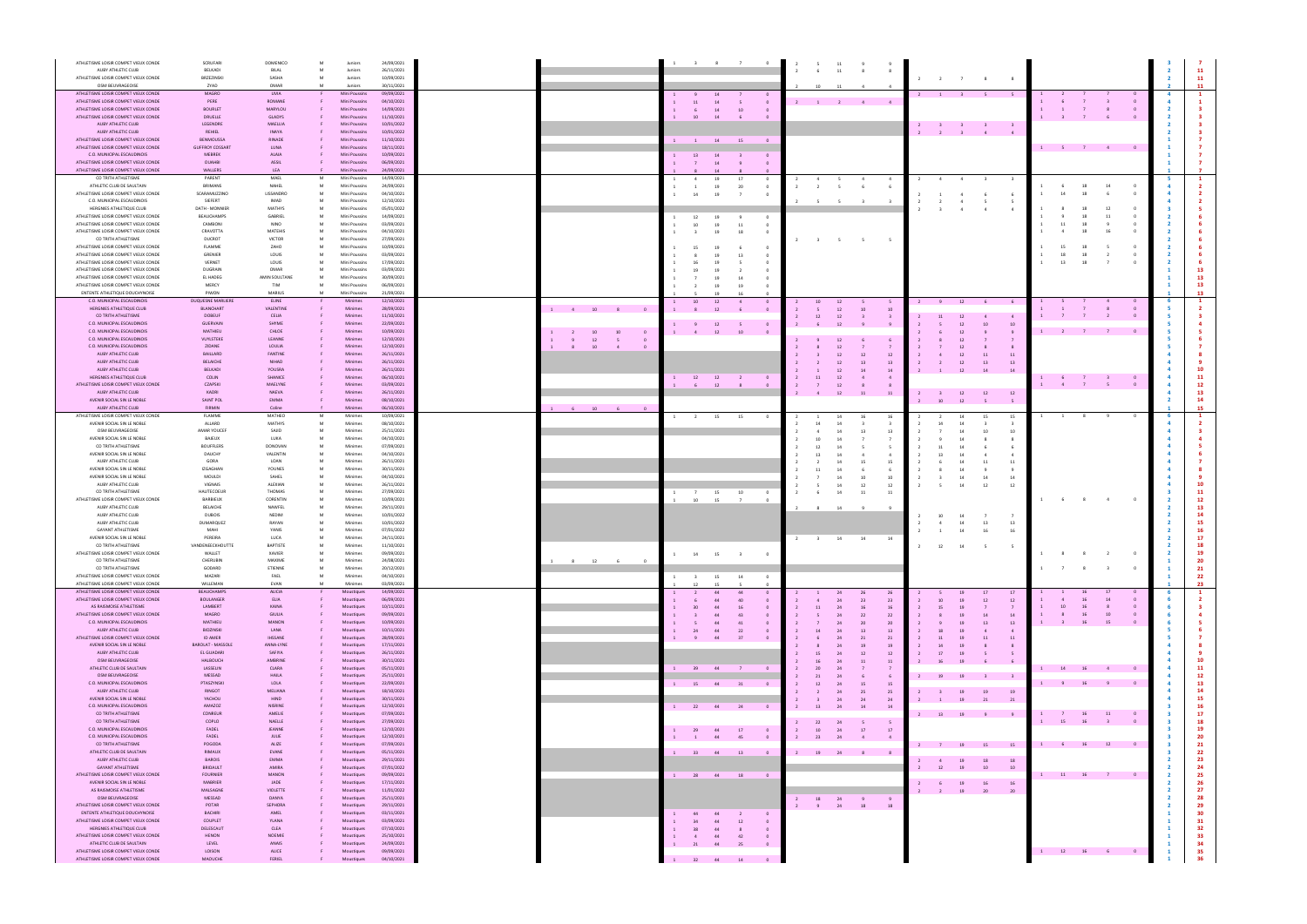| ATHLETISME LOISIR COMPET VIEUX CONDE                               |                                              | DOMENICO                        | M                                            |                          |                                  |                             |                       |                      |          |
|--------------------------------------------------------------------|----------------------------------------------|---------------------------------|----------------------------------------------|--------------------------|----------------------------------|-----------------------------|-----------------------|----------------------|----------|
| <b>AUBY ATHLETIC CLUB</b>                                          | SCRUFARI<br>BELKADI                          | BILAL                           | Juniors<br>Juniors<br>M                      | 24/09/2021<br>26/11/2021 |                                  |                             |                       |                      |          |
| ATHLETISME LOISIR COMPET VIEUX CONDE                               | BRZEZINSKI                                   | SASHA                           | Juniors                                      | 10/09/2021               |                                  |                             |                       |                      |          |
| OSM BEUVRAGEOISE                                                   | ZYAD                                         | OMAR                            | Juniors<br>M                                 | 30/11/2021               |                                  |                             | 10<br>11              |                      |          |
| ATHLETISME LOISIR COMPET VIEUX CONDE                               | <b>MAGRO</b>                                 | LIVIA                           | <b>Mini Poussins</b>                         | 09/09/2021               |                                  |                             |                       |                      |          |
| ATHLETISME LOISIR COMPET VIEUX CONDE                               | PERE                                         | ROMANE                          | <b>Mini Poussins</b>                         | 04/10/2021               |                                  |                             | $2 \qquad 4 \qquad 4$ |                      |          |
| ATHLETISME LOISIR COMPET VIEUX CONDE                               | <b>BOURLET</b>                               | MARYLOU                         | <b>Mini Poussins</b>                         | 14/09/2021               |                                  |                             |                       |                      |          |
| ATHLETISME LOISIR COMPET VIEUX CONDE                               | DRUELLE                                      | <b>GLADYS</b>                   | <b>Mini Poussins</b>                         | 11/10/2021               |                                  |                             |                       |                      |          |
| <b>AUBY ATHLETIC CLUB</b>                                          | LEGENDRE                                     | MAELLIA                         | <b>Mini Poussins</b>                         | 10/01/2022               |                                  |                             |                       |                      |          |
| <b>AUBY ATHLETIC CLUB</b>                                          | REHIEL                                       | <b>INAYA</b>                    | <b>Mini Poussins</b>                         | 10/01/2022               |                                  |                             |                       |                      |          |
| ATHLETISME LOISIR COMPET VIEUX CONDE                               | BENMOUSSA                                    | RINADE                          | <b>Mini Poussins</b>                         | 11/10/2021               |                                  | 14<br>15                    |                       |                      |          |
| ATHLETISME LOISIR COMPET VIEUX CONDE<br>C.O. MUNICIPAL ESCAUDINOIS | <b>GUFFROY COSSART</b><br><b>MEBREK</b>      | LUNA<br>ALAIA                   | <b>Mini Poussins</b><br><b>Mini Poussins</b> | 18/11/2021<br>10/09/2021 |                                  |                             |                       |                      |          |
| ATHLETISME LOISIR COMPET VIEUX CONDE                               | <b>OUAHBI</b>                                | ASSIL                           | <b>Mini Poussins</b>                         | 06/09/2021               |                                  |                             |                       |                      |          |
| ATHLETISME LOISIR COMPET VIEUX CONDE                               | WALLERS                                      | <b>LEA</b>                      | <b>Mini Poussins</b>                         | 24/09/2021               |                                  |                             |                       |                      |          |
| CO TRITH ATHLETISME                                                | PARENT                                       | MAEL                            | Mini Poussins<br>M .                         | 14/09/2021               |                                  |                             |                       |                      |          |
| ATHLETIC CLUB DE SAULTAIN                                          | <b>BRIMANS</b>                               | NAHEL                           | Mini Poussins<br>M                           | 24/09/2021               |                                  |                             |                       |                      |          |
| ATHLETISME LOISIR COMPET VIEUX CONDE                               | SCARAMUZZINO                                 | LISSANDRO                       | Mini Poussins<br>M                           | 04/10/2021               |                                  |                             |                       |                      |          |
| C.O. MUNICIPAL ESCAUDINOIS                                         | <b>SIEFERT</b>                               | IMAD                            | Mini Poussins<br>M                           | 12/10/2021               |                                  |                             |                       |                      |          |
| HERGNIES ATHLETIQUE CLUB                                           | <b>DATH - MONNIER</b>                        | <b>MATHYS</b>                   | Mini Poussins<br>M                           | 05/01/2022               |                                  |                             |                       |                      |          |
| ATHLETISME LOISIR COMPET VIEUX CONDE                               | <b>BEAUCHAMPS</b>                            | GABRIEL                         | Mini Poussins<br>M                           | 14/09/2021               |                                  | 19                          |                       |                      |          |
| ATHLETISME LOISIR COMPET VIEUX CONDE                               | CAMBONI                                      | <b>NINO</b>                     | Mini Poussins<br>M                           | 03/09/2021               |                                  |                             |                       |                      |          |
| ATHLETISME LOISIR COMPET VIEUX CONDE<br>CO TRITH ATHLETISME        | CRAVOTTA<br><b>DUCROT</b>                    | <b>MATEHIS</b><br><b>VICTOR</b> | Mini Poussins<br>M<br>Mini Poussins<br>M     | 04/10/2021<br>27/09/2021 |                                  |                             |                       |                      |          |
| ATHLETISME LOISIR COMPET VIEUX CONDE                               | <b>FLAMME</b>                                | ZAHO                            | <b>Mini Poussins</b>                         | 10/09/2021               |                                  | - 19                        |                       |                      |          |
| ATHLETISME LOISIR COMPET VIEUX CONDE                               | GRENIER                                      | LOUIS                           | Mini Poussins<br>M                           | 03/09/2021               |                                  |                             |                       |                      |          |
| ATHLETISME LOISIR COMPET VIEUX CONDE                               | <b>VERNET</b>                                | LOUIS                           | Mini Poussins<br>M                           | 17/09/2021               |                                  |                             |                       |                      |          |
| ATHLETISME LOISIR COMPET VIEUX CONDE                               | <b>DUGRAIN</b>                               | OMAR                            | <b>Mini Poussins</b><br>M                    | 03/09/2021               |                                  |                             |                       |                      |          |
| ATHLETISME LOISIR COMPET VIEUX CONDE                               | <b>EL HADEG</b>                              | AMIN SOULTANE                   | Mini Poussins<br>M                           | 30/09/2021               |                                  |                             |                       |                      |          |
| ATHLETISME LOISIR COMPET VIEUX CONDE                               | <b>MERCY</b>                                 | <b>TIM</b>                      | Mini Poussins<br>M                           | 06/09/2021               |                                  |                             |                       |                      |          |
| ENTENTE ATHLETIQUE DOUCHYNOISE                                     | PIWON                                        | <b>MARIUS</b>                   | <b>Mini Poussins</b><br>M                    | 21/09/2021               |                                  |                             |                       |                      |          |
| C.O. MUNICIPAL ESCAUDINOIS<br>HERGNIES ATHLETIQUE CLUB             | <b>DUQUESNE MARLIERE</b><br><b>BLANCHART</b> | <b>ELINE</b><br>VALENTINE       | <b>Minimes</b><br><b>Minimes</b>             | 12/10/2021<br>28/09/2021 | 10<br>$\overline{\mathbf{0}}$    | 12                          |                       |                      |          |
| CO TRITH ATHLETISME                                                | <b>DOBEUF</b>                                | <b>CELIA</b>                    | <b>Minimes</b>                               | 11/10/2021               |                                  |                             |                       |                      |          |
| C.O. MUNICIPAL ESCAUDINOIS                                         | GUERVAIN                                     | <b>SHYME</b>                    | <b>Minimes</b>                               | 22/09/2021               |                                  |                             |                       |                      |          |
| C.O. MUNICIPAL ESCAUDINOIS                                         | MATHIEU                                      | <b>CHLOE</b>                    | <b>Minimes</b>                               | 10/09/2021               |                                  |                             |                       |                      |          |
| C.O. MUNICIPAL ESCAUDINOIS                                         | VUYLSTEKE                                    | LEANNE                          | <b>Minimes</b>                               | 12/10/2021               |                                  |                             |                       |                      |          |
| C.O. MUNICIPAL ESCAUDINOIS                                         | ZIDANE                                       | LOULIA                          | <b>Minimes</b>                               | 12/10/2021               |                                  |                             |                       |                      |          |
| <b>AUBY ATHLETIC CLUB</b>                                          | BAILLARD                                     | <b>FANTINE</b>                  | <b>Minimes</b>                               | 26/11/2021               |                                  |                             |                       |                      |          |
| <b>AUBY ATHLETIC CLUB</b>                                          | <b>BELAICHE</b>                              | <b>NIHAD</b>                    | <b>Minimes</b>                               | 26/11/2021               |                                  |                             |                       |                      |          |
| <b>AUBY ATHLETIC CLUB</b><br>HERGNIES ATHLETIQUE CLUB              | BELKADI<br><b>COLIN</b>                      | YOUSRA<br>SHANICE               | <b>Minimes</b><br><b>Minimes</b>             | 26/11/2021<br>06/10/2021 |                                  |                             |                       | 14<br>14             |          |
| ATHLETISME LOISIR COMPET VIEUX CONDE                               | <b>CZAPSKI</b>                               | MAELYNE                         | <b>Minimes</b>                               | 03/09/2021               |                                  |                             |                       |                      |          |
| <b>AUBY ATHLETIC CLUB</b>                                          | KADRI                                        | <b>NAEVA</b>                    | <b>Minimes</b>                               | 26/11/2021               |                                  |                             |                       | 12                   |          |
| AVENIR SOCIAL SIN LE NOBLE                                         | <b>SAINT POL</b>                             | EMMA                            | <b>Minimes</b>                               | 08/10/2021               |                                  |                             |                       | 10<br>12             |          |
| <b>AUBY ATHLETIC CLUB</b>                                          | <b>FIRMIN</b>                                | Coline                          | <b>Minimes</b>                               | 06/10/2021               | 10<br>6 <sup>6</sup><br>$\Omega$ |                             |                       |                      |          |
| ATHLETISME LOISIR COMPET VIEUX CONDE                               | FLAMME                                       | MATHEO                          | Minimes<br>M                                 | 10/09/2021               |                                  |                             |                       |                      |          |
| AVENIR SOCIAL SIN LE NOBLE                                         | ALLARD                                       | <b>MATHYS</b>                   | <b>Minimes</b><br>M                          | 08/10/2021               |                                  |                             |                       |                      |          |
| OSM BEUVRAGEOISE                                                   | <b>AMAR YOUCEF</b>                           | SAJID                           | Minimes                                      | 25/11/2021               |                                  |                             |                       |                      |          |
| AVENIR SOCIAL SIN LE NOBLE                                         | <b>BAJEUX</b>                                | LUKA                            | <b>Minimes</b><br>$\mathbf{A}$               | 04/10/2021               |                                  |                             |                       |                      |          |
| CO TRITH ATHLETISME<br>AVENIR SOCIAL SIN LE NOBLE                  | <b>BOUFFLERS</b><br><b>DAUCHY</b>            | DONOVAN<br>VALENTIN             | Minimes<br>M<br>Minimes<br>M                 | 07/09/2021<br>04/10/2021 |                                  |                             |                       |                      |          |
| AUBY ATHLETIC CLUB                                                 | GORA                                         | LOAN                            | Minimes<br>M                                 | 26/11/2021               |                                  |                             |                       | 11                   |          |
| AVENIR SOCIAL SIN LE NOBLE                                         | IZGAGHAN                                     | YOUNES                          | Minimes<br>M                                 | 30/11/2021               |                                  |                             |                       |                      |          |
| AVENIR SOCIAL SIN LE NOBLE                                         | <b>MOULDI</b>                                | SAHEL                           | Minimes<br>M                                 | 04/10/2021               |                                  |                             |                       |                      |          |
| <b>AUBY ATHLETIC CLUB</b>                                          | <b>VIGNAIS</b>                               | <b>ALEXIAN</b>                  | Minimes<br>M                                 | 26/11/2021               |                                  |                             |                       | 12                   |          |
| CO TRITH ATHLETISME                                                | HAUTECOEUR                                   | THOMAS                          | Minimes<br>M                                 | 27/09/2021               |                                  |                             |                       |                      |          |
| ATHLETISME LOISIR COMPET VIEUX CONDE                               | BARBIEUX                                     | CORENTIN                        | Minimes<br>M                                 | 10/09/2021               |                                  |                             |                       |                      |          |
| <b>AUBY ATHLETIC CLUB</b>                                          | <b>BELAICHE</b>                              | NAWFEL                          | Minimes<br>M                                 | 29/11/2021               |                                  |                             |                       |                      |          |
| <b>AUBY ATHLETIC CLUB</b><br><b>AUBY ATHLETIC CLUB</b>             | <b>DUBOIS</b><br>DUMARQUEZ                   | <b>NEDIM</b><br>RAYAN           | Minimes<br>Minimes<br>M                      | 10/01/2022<br>10/01/2022 |                                  |                             |                       |                      |          |
| <b>GAYANT ATHLETISME</b>                                           | MAHI                                         | YANIS                           | Minimes                                      | 07/01/2022               |                                  |                             |                       |                      |          |
| AVENIR SOCIAL SIN LE NOBLE                                         | PEREIRA                                      | LUCA                            | Minimes<br>M                                 | 24/11/2021               |                                  |                             | 14                    |                      |          |
| CO TRITH ATHLETISME                                                | VANDENEECKHOUTTE                             | <b>BAPTISTE</b>                 | Minimes                                      | 11/10/2021               |                                  |                             |                       | 12                   |          |
| ATHLETISME LOISIR COMPET VIEUX CONDE                               | WALLET                                       | XAVIER                          | Minimes<br>M                                 | 09/09/2021               |                                  |                             |                       |                      |          |
| CO TRITH ATHLETISME                                                | <b>CHERUBIN</b>                              | MAXIME                          | Minimes                                      | 24/08/2021               | 12                               |                             |                       |                      |          |
| CO TRITH ATHLETISME<br>ATHLETISME LOISIR COMPET VIEUX CONDE        | GODARD<br>MAZARI                             | ETIENNE                         | Minimes<br>M                                 | 20/12/2021               |                                  |                             |                       |                      |          |
| ATHLETISME LOISIR COMPET VIEUX CONDE                               | WILLEMAN                                     | <b>FAEL</b><br><b>EVAN</b>      | Minimes<br>Minimes                           | 04/10/2021<br>03/09/2021 |                                  |                             |                       |                      |          |
| ATHLETISME LOISIR COMPET VIEUX CONDE                               | <b>BEAUCHAMPS</b>                            | ALICIA                          | Moustiques                                   | 14/09/2021               |                                  |                             |                       | 17                   |          |
| ATHLETISME LOISIR COMPET VIEUX CONDE                               | <b>BOULANGER</b>                             | ELIA                            | Moustiques                                   | 06/09/2021               |                                  |                             |                       |                      |          |
| AS RAISMOISE ATHLETISME                                            | LAMBERT                                      | KAINA                           | Moustiques                                   | 10/11/2021               |                                  |                             |                       |                      |          |
| ATHLETISME LOISIR COMPET VIEUX CONDE                               | <b>MAGRO</b>                                 | <b>GIULIA</b>                   | Moustiques                                   | 09/09/2021               |                                  |                             |                       |                      |          |
| C.O. MUNICIPAL ESCAUDINOIS                                         | MATHIEU                                      | <b>MANON</b>                    | Moustiques                                   | 10/09/2021               |                                  |                             |                       |                      |          |
| AUBY ATHLETIC CLUB                                                 | BIDZINSKI                                    | LANA                            | Moustiques                                   | 10/11/2021               |                                  | 24<br>44<br>22              | 24<br>14<br>13<br>13  | 19<br>18             |          |
| ATHLETISME LOISIR COMPET VIEUX CONDE<br>AVENIR SOCIAL SIN LE NOBLE | <b>ID AMER</b><br><b>BAROLAT - MASSOLE</b>   | <b>IHSSANE</b><br>ANNA-LYNE     | Moustiques<br>Moustiques                     | 28/09/2021<br>17/11/2021 |                                  | 37<br>44                    | 21                    | 11                   |          |
| <b>AUBY ATHLETIC CLUB</b>                                          | EL GUADARI                                   | SAFIYA                          | Moustiques                                   | 26/11/2021               |                                  |                             | <b>12</b>             |                      |          |
| OSM BEUVRAGEOISE                                                   | HALBOUCH                                     | AMBRINE                         | Moustiques                                   | 30/11/2021               |                                  |                             | 11                    |                      |          |
| ATHLETIC CLUB DE SAULTAIN                                          | LASSELIN                                     | <b>CLARA</b>                    | Moustiques                                   | 05/11/2021               |                                  | 44<br>-39                   |                       |                      | 14       |
| <b>OSM BEUVRAGEOISE</b>                                            | <b>MESSAD</b>                                | HAILA                           | Moustiques                                   | 25/11/2021               |                                  |                             |                       | 19<br>19             |          |
| C.O. MUNICIPAL ESCAUDINOIS                                         | PTASZYNSKI                                   | LOLA                            | Moustiques                                   | 22/09/2021               |                                  | 44<br>31<br>15              |                       |                      | 16       |
| <b>AUBY ATHLETIC CLUB</b>                                          | RINGOT                                       | MELIANA                         | Moustiques                                   | 18/10/2021               |                                  |                             | -25                   | 19                   |          |
| AVENIR SOCIAL SIN LE NOBLE<br>C.O. MUNICIPAL ESCAUDINOIS           | YACHOU<br>AMAZOZ                             | HIND<br><b>NISRINE</b>          | Moustiques<br>Moustiques                     | 30/11/2021<br>12/10/2021 |                                  |                             |                       | 21                   |          |
| CO TRITH ATHLETISME                                                | <b>CONREUR</b>                               | AMELIE                          | Moustiques                                   | 07/09/2021               |                                  | 24<br>22<br>44              | 14<br>24<br>-13       | 13<br>19<br>9        |          |
| CO TRITH ATHLETISME                                                | COPLO                                        | <b>NAELLE</b>                   | Moustiques                                   | 27/09/2021               |                                  |                             |                       |                      |          |
| C.O. MUNICIPAL ESCAUDINOIS                                         | FADEL                                        | JEANNE                          | Moustiques                                   | 12/10/2021               |                                  | 17                          | 17                    |                      |          |
| C.O. MUNICIPAL ESCAUDINOIS                                         | FADEL                                        | <b>JULIE</b>                    | Moustiques                                   | 12/10/2021               |                                  |                             |                       |                      |          |
| CO TRITH ATHLETISME                                                | POGODA                                       | ALIZE                           | Moustiques                                   | 07/09/2021               |                                  |                             |                       | 15<br>19<br>15       | 16<br>12 |
| ATHLETIC CLUB DE SAULTAIN                                          | RIMAUX                                       | EVANE                           | Moustiques                                   | 05/11/2021               |                                  | 44<br>13<br>33 <sup>°</sup> | 24<br>19              |                      |          |
| <b>AUBY ATHLETIC CLUB</b>                                          | <b>BAROIS</b>                                | EMMA                            | Moustiques                                   | 29/11/2021               |                                  |                             |                       | 18<br>18<br>19       |          |
| <b>GAYANT ATHLETISME</b><br>ATHLETISME LOISIR COMPET VIEUX CONDE   | <b>BRIDAULT</b><br><b>FOURNIER</b>           | AMIRA<br><b>MANON</b>           | Moustiques                                   | 07/01/2022<br>09/09/2021 |                                  |                             |                       | 19<br>10<br>10<br>12 | 16<br>11 |
| AVENIR SOCIAL SIN LE NOBLE                                         | MABRIER                                      | JADE                            | Moustiques<br>Moustiques                     | 17/11/2021               |                                  | 44<br>18<br>28              |                       | 16<br>- 16           |          |
| AS RAISMOISE ATHLETISME                                            | MALSAGNE                                     | <b>VIOLETTE</b>                 | Moustiques                                   | 11/01/2022               |                                  |                             |                       | 19<br>20<br>20       |          |
| <b>OSM BEUVRAGEOISE</b>                                            | <b>MESSAD</b>                                | <b>DANYA</b>                    | Moustiques                                   | 25/11/2021               |                                  |                             |                       |                      |          |
| ATHLETISME LOISIR COMPET VIEUX CONDE                               | <b>POTAR</b>                                 | SEPHORA                         | Moustiques                                   | 29/11/2021               |                                  |                             | 18<br>24<br>18        |                      |          |
| ENTENTE ATHLETIQUE DOUCHYNOISE                                     | <b>BACHIRI</b>                               | AMEL                            | Moustiques                                   | 03/11/2021               |                                  |                             |                       |                      |          |
| ATHLETISME LOISIR COMPET VIEUX CONDE                               | <b>COUPLET</b>                               | YLANA                           | Moustiques                                   | 03/09/2021               |                                  |                             |                       |                      |          |
| HERGNIES ATHLETIQUE CLUB<br>ATHLETISME LOISIR COMPET VIEUX CONDE   | DELESCAUT<br><b>HENON</b>                    | <b>CLEA</b><br><b>NOEMIE</b>    | Moustiques                                   | 07/10/2021               |                                  |                             |                       |                      |          |
| ATHLETIC CLUB DE SAULTAIN                                          | <b>LEVEL</b>                                 | ANAIS                           | Moustiques<br>Moustiques                     | 25/10/2021<br>24/09/2021 |                                  | 44                          |                       |                      |          |
| ATHLETISME LOISIR COMPET VIEUX CONDE                               | LOISON                                       | ALICE                           | Moustiques                                   | 09/09/2021               |                                  |                             |                       |                      | 12<br>16 |
|                                                                    |                                              |                                 |                                              |                          |                                  |                             |                       |                      |          |
| ATHLETISME LOISIR COMPET VIEUX CONDE                               | MAOUCHE                                      | FERIEL                          | Moustiques                                   | 04/10/2021               |                                  | 44<br>$\overline{14}$<br>32 |                       |                      |          |

| 3<br>$\begin{array}{c} 2 \\ 2 \\ 2 \end{array}$                  | 7<br>11<br>11<br><u>11</u>                                                    |
|------------------------------------------------------------------|-------------------------------------------------------------------------------|
| 442222                                                           | $\frac{1}{1}$<br>3<br>3                                                       |
| $\frac{1}{1}$                                                    | 337777                                                                        |
| $\mathbf{1}$<br>1<br>1                                           | $\overline{\mathbf{Z}}$                                                       |
| $\overline{5}$<br>4<br>4                                         | $\overline{\mathbf{1}}$<br>$\overline{\mathbf{c}}$<br>$\overline{\mathbf{c}}$ |
| 4                                                                | $\overline{\mathbf{c}}$                                                       |
| 3                                                                | $\overline{\phantom{a}}$                                                      |
| $\overline{\mathbf{c}}$                                          | 6                                                                             |
| $\overline{\mathbf{c}}$                                          | 6                                                                             |
| $\begin{array}{c} 2 \\ 2 \end{array}$<br>$\overline{\mathbf{2}}$ | 6<br>6<br>6                                                                   |
| $\overline{\mathbf{2}}$                                          | 6                                                                             |
| $\overline{\mathbf{2}}$                                          | 6                                                                             |
| 1                                                                | 13                                                                            |
| 1                                                                | 13                                                                            |
| 1                                                                | 13                                                                            |
| 1                                                                | 13                                                                            |
| 6                                                                | 1                                                                             |
| 5                                                                | $\overline{\mathbf{2}}$                                                       |
| 5                                                                | 3                                                                             |
| 5                                                                | 4                                                                             |
| 5                                                                | 5                                                                             |
| 5                                                                | 6                                                                             |
| 5                                                                | 7                                                                             |
| 4                                                                | 8                                                                             |
| 4                                                                | 9                                                                             |
| 4                                                                | 10                                                                            |
| 4                                                                | 11                                                                            |
| 4                                                                | 12                                                                            |
| 4                                                                | 13                                                                            |
| $\overline{\mathbf{2}}$                                          | 14                                                                            |
| $\overline{\mathbf{1}}$                                          | 15                                                                            |
| 6                                                                | 1                                                                             |
| 4                                                                | $\overline{\mathbf{2}}$                                                       |
| 4                                                                | 3                                                                             |
| 4                                                                | 4                                                                             |
| 4                                                                | 5                                                                             |
| 4                                                                | 6                                                                             |
| 4                                                                | 7                                                                             |
| 4                                                                | 8                                                                             |
| 4                                                                | 9                                                                             |
| 4                                                                | 10                                                                            |
| 3                                                                | 11                                                                            |
| $\overline{\mathbf{c}}$                                          | 12                                                                            |
| 2                                                                | 13                                                                            |
| 2                                                                | 14                                                                            |
| $\overline{\mathbf{2}}$                                          | 15                                                                            |
| 2                                                                | 16                                                                            |
| $\overline{\mathbf{c}}$                                          | 17                                                                            |
| $\overline{\mathbf{c}}$                                          | 18                                                                            |
| 2                                                                | 19                                                                            |
| 1                                                                | 20                                                                            |
| 1                                                                | 21                                                                            |
| $\mathbf{1}$                                                     | <u>22</u>                                                                     |
| 1                                                                | 23                                                                            |
| 6                                                                | $\mathbf{1}$                                                                  |
| 6                                                                | 2                                                                             |
| 6                                                                | 3                                                                             |
| 6                                                                | 4                                                                             |
| 6                                                                | 5                                                                             |
| 5                                                                | 6                                                                             |
| 5                                                                | 7                                                                             |
| 4                                                                | 8                                                                             |
| 4                                                                | 9                                                                             |
| 4                                                                | 10                                                                            |
| 4                                                                | 11                                                                            |
| 4                                                                | 12                                                                            |
| 4                                                                | 13                                                                            |
| 4                                                                | 14                                                                            |
| 4                                                                | 15                                                                            |
| 3                                                                | 16                                                                            |
| 3                                                                | 17                                                                            |
| 3                                                                | 18                                                                            |
| 3                                                                | 19                                                                            |
| 3                                                                | 20                                                                            |
| 3                                                                | 21                                                                            |
| 3                                                                | 22                                                                            |
| $\overline{\mathbf{c}}$                                          | 23                                                                            |
| $\overline{\mathbf{2}}$                                          | 24                                                                            |
| $\overline{\mathbf{2}}$                                          | 25                                                                            |
| $\overline{\mathbf{2}}$                                          | 26                                                                            |
| $\overline{\mathbf{2}}$                                          | 27                                                                            |
| $\overline{\mathbf{2}}$                                          | 28                                                                            |
| $\overline{\mathbf{2}}$                                          | 29                                                                            |
| 1                                                                | 30                                                                            |
| 1                                                                | 31                                                                            |
| 1                                                                | 32                                                                            |
| 1                                                                | 33                                                                            |
| $\mathbf 1$                                                      | 34                                                                            |
| $\overline{\mathbf{1}}$                                          | 35                                                                            |
| $\overline{\mathbf{1}}$                                          | 36                                                                            |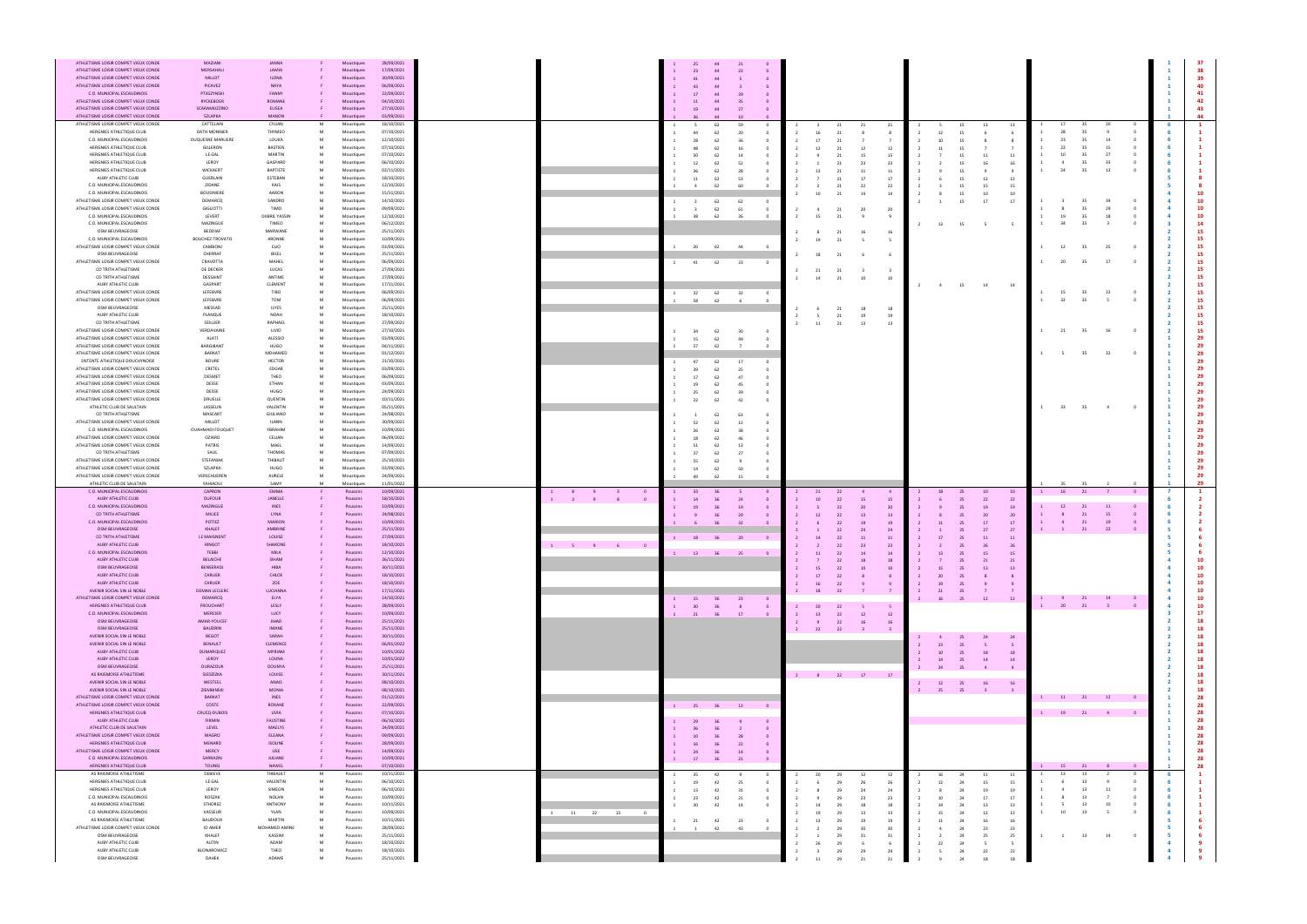| ATHLETISME LOISIR COMPET VIEUX CONDE<br>ATHLETISME LOISIR COMPET VIEUX CONDE<br>ATHLETISME LOISIR COMPET VIEUX CONDE<br>ATHLETISME LOISIR COMPET VIEUX CONDE<br>C.O. MUNICIPAL ESCAUDINOIS<br>ATHLETISME LOISIR COMPET VIEUX CONDE<br>ATHLETISME LOISIR COMPET VIEUX CONDE<br>ATHLETISME LOISIR COMPET VIEUX CONDE | MAZIANI<br>MERSAHALI<br><b>MILLOT</b><br>PICAVEZ<br>PTASZYNSKI<br>RYCKEBOER<br>SCARAMUZZINO<br>SZLAPKA                  | JANNA<br>LAMIA<br>ILONA<br>NAYA<br>FANNY<br>ROMANE<br><b>ELISEA</b><br>MANON                               |        | Moustiques<br>Moustiques<br>Moustiques<br>Moustiques<br>Moustiques<br>Moustiques<br>Moustiques<br>Moustiques | 28/09/2021<br>17/09/2021<br>30/09/2021<br>06/09/2021<br>22/09/2021<br>04/10/2021<br>27/10/2021<br>03/09/2021 |                | 25 <sub>1</sub>      |        |          |                |                |                      |                |                    |                            |                       |          |    |  |
|--------------------------------------------------------------------------------------------------------------------------------------------------------------------------------------------------------------------------------------------------------------------------------------------------------------------|-------------------------------------------------------------------------------------------------------------------------|------------------------------------------------------------------------------------------------------------|--------|--------------------------------------------------------------------------------------------------------------|--------------------------------------------------------------------------------------------------------------|----------------|----------------------|--------|----------|----------------|----------------|----------------------|----------------|--------------------|----------------------------|-----------------------|----------|----|--|
| ATHLETISME LOISIR COMPET VIEUX CONDE<br>HERGNIES ATHLETIQUE CLUB<br>C.O. MUNICIPAL ESCAUDINOIS<br>HERGNIES ATHLETIQUE CLUB<br>HERGNIES ATHLETIQUE CLUB<br>HERGNIES ATHLETIQUE CLUB<br>HERGNIES ATHLETIQUE CLUB                                                                                                     | CATTELAIN<br><b>DATH MONNIER</b><br>DUQUESNE MARLIERE<br><b>GILLERON</b><br>LE GAL<br>LEROY<br><b>WICKAERT</b>          | <b>CYLIAN</b><br>THYMEO<br>LOUKA<br><b>BASTIEN</b><br>MARTIN<br>GASPARD<br><b>BAPTISTE</b>                 | M<br>M | Moustiques<br>Moustiques<br>Moustiques<br>Moustiques<br>Moustiques<br>Moustiques<br>Moustiques               | 18/10/2021<br>07/10/2021<br>12/10/2021<br>07/10/2021<br>07/10/2021<br>06/10/2021<br>02/11/2021               |                |                      |        |          |                |                | -12                  |                |                    | 13<br>-11                  |                       |          |    |  |
| <b>AUBY ATHLETIC CLUB</b><br>C.O. MUNICIPAL ESCAUDINOIS<br>C.O. MUNICIPAL ESCAUDINOIS<br>ATHLETISME LOISIR COMPET VIEUX CONDE<br>ATHLETISME LOISIR COMPET VIEUX CONDE<br>C.O. MUNICIPAL ESCAUDINOIS<br>C.O. MUNICIPAL ESCAUDINOIS<br>OSM BEUVRAGEOISE                                                              | GUERLAIN<br>ZIDANE<br><b>BOUSINIERE</b><br><b>DEMARCQ</b><br><b>GIGLIOTTI</b><br>LEVERT<br>MAZINGUE<br><b>BEDDIAF</b>   | ESTEBAN<br>KAIS<br>AARON<br>SANDRO<br>TIMO<br>DJIBRIL YASSIN<br><b>TIMEO</b><br>MARWANE                    |        | Moustiques<br>Moustiques<br>Moustiques<br>Moustiques<br>Moustiques<br>Moustiques<br>Moustiques<br>Moustiques | 18/10/2021<br>12/10/2021<br>15/11/2021<br>14/10/2021<br>09/09/2021<br>12/10/2021<br>06/12/2021<br>25/11/2021 |                |                      |        |          |                |                | 17<br>14<br>20<br>16 |                |                    | 12<br>15<br>17             |                       |          |    |  |
| C.O. MUNICIPAL ESCAUDINOIS<br>ATHLETISME LOISIR COMPET VIEUX CONDE<br>OSM BEUVRAGEOISE<br>ATHLETISME LOISIR COMPET VIEUX CONDE<br>CO TRITH ATHLETISME<br>CO TRITH ATHLETISME<br><b>AUBY ATHLETIC CLUB</b>                                                                                                          | BOUCHEZ-TROVATO<br>CAMBONI<br>CHERRAF<br>CRAVOTTA<br>DE DECKER<br>DESSAINT<br>GASPART                                   | ARONNE<br>ELIO<br>BILEL<br><b>MAHEL</b><br>LUCAS<br>ANTIME<br><b>CLEMENT</b>                               |        | Moustiques<br>Moustiques<br>Moustiques<br>Moustiques<br>Moustiques<br>Moustiques<br>Moustiques               | 10/09/2021<br>03/09/2021<br>25/11/2021<br>06/09/2021<br>27/09/2021<br>27/09/2021<br>17/11/2021               |                | 41                   | 62     | 23       | 18<br>21<br>14 | 21<br>21<br>10 | 10                   |                |                    | 14                         | 20                    |          |    |  |
| ATHLETISME LOISIR COMPET VIEUX CONDE<br>ATHLETISME LOISIR COMPET VIEUX CONDE<br>OSM BEUVRAGEOISE<br><b>AUBY ATHLETIC CLUB</b><br>CO TRITH ATHLETISME<br>ATHLETISME LOISIR COMPET VIEUX CONDE<br>ATHLETISME LOISIR COMPET VIEUX CONDE                                                                               | LEFEBVRE<br>LEFEBVRE<br>MESSAD<br>PLANQUE<br>SEILLIER<br>VERDAVAINE<br><b>ALATI</b>                                     | TIBO<br>TOM<br>ILYES<br><b>NOAH</b><br>RAPHAEL<br>LIVIO<br><b>ALESSIO</b>                                  | M      | Moustiques<br>Moustiques<br>Moustiques<br>Moustiques<br>Moustiques<br>Moustiques<br>Moustiques               | 06/09/2021<br>06/09/2021<br>25/11/2021<br>18/10/2021<br>27/09/2021<br>27/10/2021<br>03/09/2021               |                | 32                   |        | 30       |                |                | 18<br>13             |                |                    |                            | -32                   |          |    |  |
| ATHLETISME LOISIR COMPET VIEUX CONDE<br>ATHLETISME LOISIR COMPET VIEUX CONDE<br>ENTENTE ATHLETIQUE DOUCHYNOISE<br>ATHLETISME LOISIR COMPET VIEUX CONDE<br>ATHLETISME LOISIR COMPET VIEUX CONDE<br>ATHLETISME LOISIR COMPET VIEUX CONDE<br>ATHLETISME LOISIR COMPET VIEUX CONDE                                     | BARGIBANT<br><b>BARKAT</b><br><b>BOURE</b><br><b>CRETEL</b><br><b>DESMET</b><br><b>DESSE</b><br><b>DESSE</b>            | HUGO<br>MOHAMED<br><b>HECTOR</b><br>EDGAR<br><b>THEO</b><br><b>ETHAN</b><br>HUGO                           | M<br>M | Moustiques<br>Moustiques<br>Moustiques<br>Moustiques<br>Moustiques<br>Moustiques<br>Moustiques               | 04/11/2021<br>01/12/2021<br>21/10/2021<br>03/09/2021<br>06/09/2021<br>03/09/2021<br>24/09/2021               |                |                      |        |          |                |                |                      |                |                    |                            |                       |          |    |  |
| ATHLETISME LOISIR COMPET VIEUX CONDE<br>ATHLETIC CLUB DE SAULTAIN<br>CO TRITH ATHLETISME<br>ATHLETISME LOISIR COMPET VIEUX CONDE<br>C.O. MUNICIPAL ESCAUDINOIS<br>ATHLETISME LOISIR COMPET VIEUX CONDE<br>ATHLETISME LOISIR COMPET VIEUX CONDE                                                                     | <b>DRUELLE</b><br>LASSELIN<br>MASCART<br><b>MILLOT</b><br><b>OUAHMADI FOUQUET</b><br><b>OZIARD</b><br><b>PATRIS</b>     | QUENTIN<br>VALENTIN<br><b>GIULIANO</b><br>ILANN<br>YBRAHIM<br><b>CELIAN</b><br>MAEL                        |        | Moustiques<br>Moustiques<br>Moustiques<br>Moustiques<br>Moustique<br>Moustiques<br>Moustiques                | 10/11/2021<br>05/11/2021<br>24/08/2021<br>30/09/2021<br>10/09/2021<br>06/09/2021<br>14/09/2021               |                | 22<br>$\overline{A}$ | $\sim$ | 46       |                |                |                      |                |                    |                            |                       |          |    |  |
| CO TRITH ATHLETISME<br>ATHLETISME LOISIR COMPET VIEUX CONDE                                                                                                                                                                                                                                                        | SAUL<br>STEFANIAK                                                                                                       | <b>THOMAS</b><br>THIBAUT                                                                                   |        | Moustiques<br>Moustiques                                                                                     | 07/09/2021<br>25/10/2021                                                                                     |                |                      |        |          |                |                |                      |                |                    |                            |                       |          |    |  |
| ATHLETISME LOISIR COMPET VIEUX CONDE<br>ATHLETISME LOISIR COMPET VIEUX CONDE<br>ATHLETIC CLUB DE SAULTAIN<br>C.O. MUNICIPAL ESCAUDINOIS<br><b>AUBY ATHLETIC CLUB</b>                                                                                                                                               | SZLAPKA<br>VERSCHUEREN<br>YAHIAOUI<br>CAPRON<br><b>DUFOUR</b>                                                           | HUGO<br><b>AURELE</b><br>SAMY<br>EMMA<br>JANELLE                                                           |        | Moustiques<br>Moustiques<br>Moustiques<br>Poussins<br>Poussins                                               | 03/09/2021<br>24/09/2021<br>11/01/2022<br>10/09/2021<br>18/10/2021                                           |                |                      |        |          |                |                |                      |                |                    | 10<br>22                   |                       |          |    |  |
| C.O. MUNICIPAL ESCAUDINOIS<br>CO TRITH ATHLETISME<br>C.O. MUNICIPAL ESCAUDINOIS<br><b>OSM BEUVRAGEOISE</b><br>CO TRITH ATHLETISME<br><b>AUBY ATHLETIC CLUB</b><br>C.O. MUNICIPAL ESCAUDINOIS                                                                                                                       | MAZINGUE<br><b>MILICE</b><br>POTIEZ<br>KHALEF<br>LE MAIGNENT<br>RINGOT<br><b>TEBBI</b>                                  | <b>INES</b><br>LYNA<br><b>MARION</b><br>AMBRINE<br>LOUISE<br>SHARONE<br>MILA                               |        | Poussins<br>Poussins<br>Poussins<br>Poussins<br>Poussins<br>Poussins<br>Poussins                             | 10/09/2021<br>24/08/2021<br>10/09/2021<br>25/11/2021<br>27/09/2021<br>18/10/2021<br>12/10/2021               |                | 18                   |        | 20<br>25 |                |                | 13<br>11<br>23<br>14 |                |                    | 17<br>27<br>11<br>ZO<br>15 |                       |          |    |  |
| <b>AUBY ATHLETIC CLUB</b><br><b>OSM BEUVRAGEOISE</b><br><b>AUBY ATHLETIC CLUB</b><br><b>AUBY ATHLETIC CLUB</b><br>AVENIR SOCIAL SIN LE NOBLE<br>ATHLETISME LOISIR COMPET VIEUX CONDE<br>HERGNIES ATHLETIQUE CLUB                                                                                                   | <b>BELAICHE</b><br>BENSERADJ<br><b>CARLIER</b><br><b>CARLIER</b><br>DEMAN LECLERC<br><b>DEMARCQ</b><br><b>FROUCHART</b> | <b>SIHAM</b><br>HIBA<br><b>CHLOE</b><br>ZOE<br>LUCIANNA<br>ELYA<br>LESLY                                   |        | Poussins<br>Poussins<br>Poussins<br>Poussins<br>Poussins<br>Poussins<br>Poussins                             | 26/11/2021<br>30/11/2021<br>18/10/2021<br>18/10/2021<br>17/11/2021<br>14/10/2021<br>28/09/2021               |                |                      |        | -23      |                | 22             |                      | 16             | - 25               | 21<br>13<br>12             | 20                    |          |    |  |
| C.O. MUNICIPAL ESCAUDINOIS<br><b>OSM BEUVRAGEOISE</b><br><b>OSM BEUVRAGEOISE</b><br>AVENIR SOCIAL SIN LE NOBLE<br>AVENIR SOCIAL SIN LE NOBLE<br><b>AUBY ATHLETIC CLUB</b><br><b>AUBY ATHLETIC CLUB</b>                                                                                                             | <b>MERCIER</b><br>AMAR-YOUCEF<br><b>BAUDRIN</b><br><b>BEGOT</b><br><b>BENAULT</b><br><b>DUMARQUEZ</b><br>LEROY          | LUCY<br>JIHAD<br><b>IMANE</b><br>SARAH<br><b>CLEMENCE</b><br><b>MYRIAM</b><br>LOUNA                        |        | Poussins<br>Poussins<br>Poussins<br>Poussins<br>Poussins<br>Poussins<br>Poussins                             | 10/09/2021<br>25/11/2021<br>25/11/2021<br>30/11/2021<br>06/01/2022<br>10/01/2022<br>10/01/2022               |                |                      |        |          | ົາາ            | ່າາ            | 12                   |                | - 24<br>- 25 -     | 24<br>18<br>14             |                       |          |    |  |
| <b>OSM BEUVRAGEOISE</b><br>AS RAISMOISE ATHLETISME<br>AVENIR SOCIAL SIN LE NOBLE<br>AVENIR SOCIAL SIN LE NOBLE<br>ATHLETISME LOISIR COMPET VIEUX CONDE<br>ATHLETISME LOISIR COMPET VIEUX CONDE<br><b>HERGNIES ATHLETIQUE CLUB</b>                                                                                  | OURAZOUK<br>SIEDZIZKA<br>WESTEEL<br>ZIEMBINSKI<br><b>BARKAT</b><br>COSTE<br><b>CRUCQ-DUBOIS</b>                         | <b>DOUNYA</b><br>LOUISE<br>ANAIS<br><b>MONIA</b><br><b>INES</b><br>ROXANE<br>LIVIA                         |        | Poussins<br>Poussins<br>Poussins<br>Poussins<br>Poussins<br>Poussins<br>Poussins                             | 25/11/2021<br>30/11/2021<br>08/10/2021<br>08/10/2021<br>01/12/2021<br>22/09/2021<br>07/10/2021               |                | 25                   | 36 13  |          | 8 <sup>2</sup> | 22<br>17       | 17                   | 24<br>12<br>25 | - 25<br>- 25<br>25 | 16                         | $\overline{11}$<br>19 | 21<br>21 | 12 |  |
| <b>AUBY ATHLETIC CLUB</b><br>ATHLETIC CLUB DE SAULTAIN<br>ATHLETISME LOISIR COMPET VIEUX CONDE<br>HERGNIES ATHLETIQUE CLUB<br>ATHLETISME LOISIR COMPET VIEUX CONDE<br>C.O. MUNICIPAL ESCAUDINOIS<br><b>HERGNIES ATHLETIQUE CLUB</b>                                                                                | <b>FIRMIN</b><br><b>LEVEL</b><br><b>MAGRO</b><br>MENARD<br><b>MERCY</b><br>SARRAZIN<br><b>TOUNSI</b>                    | <b>FAUSTINE</b><br><b>MAELYS</b><br>ELEANA<br><b>ISOLINE</b><br><b>LISE</b><br><b>JULIANE</b><br>NAWEL     |        | Poussins<br>Poussins<br>Poussins<br>Poussins<br>Poussins<br>Poussins<br>Poussins                             | 06/10/2021<br>24/09/2021<br>09/09/2021<br>28/09/2021<br>14/09/2021<br>10/09/2021<br>07/10/2021               |                |                      |        |          |                |                |                      |                |                    |                            | 15                    |          |    |  |
| AS RAISMOISE ATHLETISME<br>HERGNIES ATHLETIQUE CLUB<br>HERGNIES ATHLETIQUE CLUB<br>C.O. MUNICIPAL ESCAUDINOIS<br>AS RAISMOISE ATHLETISME<br>C.O. MUNICIPAL ESCAUDINOIS<br>AS RAISMOISE ATHLETISME<br>ATHLETISME LOISIR COMPET VIEUX CONDE                                                                          | <b>DEBIEVE</b><br>LE GAL<br>LEROY<br><b>ROSZAK</b><br><b>STHOREZ</b><br>VASSEUR<br><b>BAUDOUX</b><br><b>ID AMER</b>     | THIBAULT<br>VALENTIN<br>SIMEON<br><b>NOLAN</b><br><b>ANTHONY</b><br>YLAN<br><b>MARTIN</b><br>MOHAMED AMINE | M<br>M | Poussins<br>Poussins<br>Poussins<br>Poussins<br>Poussins<br>Poussins<br>Poussins<br>Poussins                 | 10/11/2021<br>06/10/2021<br>06/10/2021<br>10/09/2021<br>10/11/2021<br>10/09/2021<br>10/11/2021<br>28/09/2021 | 22<br>13<br>11 |                      | 42     |          |                |                | 12<br>13<br>30       |                |                    | 17<br>13<br>12<br>23       |                       |          |    |  |

| $\overline{\mathbf{1}}$ | 37<br>38                |
|-------------------------|-------------------------|
| 1                       | 39                      |
| $\mathbf 1$             | 40                      |
| 1                       | 41                      |
| 1                       | 42                      |
| 1                       | 43                      |
| 1                       | 44                      |
| 6                       | 1                       |
| 6                       | 1                       |
| 6                       | 1                       |
| 6                       | $\overline{\mathbf{1}}$ |
| 6                       | 1                       |
| 6                       | $\overline{\mathbf{1}}$ |
| 6                       | 1                       |
| 5                       | 8                       |
| 5                       | 8                       |
| 4                       | 10                      |
| 4                       | 10                      |
| 4                       | 10                      |
| 4                       | 10                      |
| 3                       | 14                      |
| $\overline{\mathbf{2}}$ | 15                      |
| $\overline{\mathbf{2}}$ | 15                      |
| $\overline{\mathbf{2}}$ | 15                      |
| $\overline{\mathbf{2}}$ | 15                      |
| $\overline{\mathbf{2}}$ | 15                      |
| $\overline{\mathbf{2}}$ | 15                      |
| $\overline{\mathbf{2}}$ | 15                      |
| $\overline{\mathbf{2}}$ | 15                      |
| $\overline{\mathbf{2}}$ | 15                      |
| $\overline{\mathbf{2}}$ | 15                      |
| $\overline{\mathbf{2}}$ | 15                      |
| $\overline{\mathbf{2}}$ | 15                      |
| $\overline{\mathbf{2}}$ | 15                      |
| $\overline{\mathbf{2}}$ | 15                      |
| 1                       | 29                      |
| $\overline{\mathbf{1}}$ | 29                      |
| 1                       | 29                      |
| $\mathbf 1$             | 29                      |
| 1                       | 29                      |
| 1                       | 29                      |
| 1                       | 29                      |
| 1                       | 29                      |
| 1                       | 29                      |
| $\mathbf 1$             | 29                      |
| 1                       | 29                      |
| $\mathbf 1$             | 29                      |
| $\mathbf 1$             | 29                      |
| $\overline{\mathbf{1}}$ | 29                      |
| 1                       | 29                      |
| $\mathbf{1}$            | 29                      |
| 1                       | 29                      |
| $\frac{1}{1}$           | 29<br>29                |
| $\overline{1}$          | <u>29</u>               |
| 7                       | 1                       |
| 6                       | $\overline{\mathbf{c}}$ |
| 6                       | 2                       |
| 6                       |                         |
|                         | 2                       |
| 6                       | $\overline{\mathbf{2}}$ |
| 5                       | 6                       |
| 5                       | 6                       |
| 5                       | 6                       |
| 5                       | 6                       |
| 4                       | 10                      |
| 4                       | 10                      |
| 4                       | 10                      |
| 4                       | 10                      |
| 4                       | 10                      |
| 4                       | 10                      |
| 4                       | 10                      |
| 3                       | 17                      |
| $\overline{\mathbf{c}}$ | 18                      |
| $\overline{\mathbf{2}}$ | 18                      |
| $\overline{\mathbf{2}}$ | 18                      |
| $\overline{\mathbf{c}}$ | 18                      |
| $\overline{\mathbf{2}}$ | 18                      |
| $\overline{\mathbf{2}}$ | 18                      |
| $\overline{\mathbf{2}}$ | 18                      |
| $\overline{\mathbf{2}}$ | 18                      |
| $\overline{\mathbf{2}}$ | 18                      |
| $\overline{\mathbf{2}}$ | 18                      |
| 1                       | 28                      |
| $\overline{\mathbf{1}}$ | 28                      |
| 1                       | 28                      |
| 1                       | 28                      |
| 1                       | 28                      |
| 1                       | 28                      |
| 1                       | 28                      |
| $\mathbf 1$             | 28                      |
| 1                       | 28                      |
| 1                       | 28                      |
| 6                       | 1                       |
| 6                       | 1                       |
| 6                       | 1                       |
| 6                       | $\overline{\mathbf{1}}$ |
| 6                       | 1                       |
| 6                       | 1                       |
| 5                       | 6                       |
| 5                       | 6                       |
| 5                       | $\boldsymbol{6}$        |
| 4                       |                         |
| $\overline{\mathbf{4}}$ | 9<br>9                  |
| 4                       | 9                       |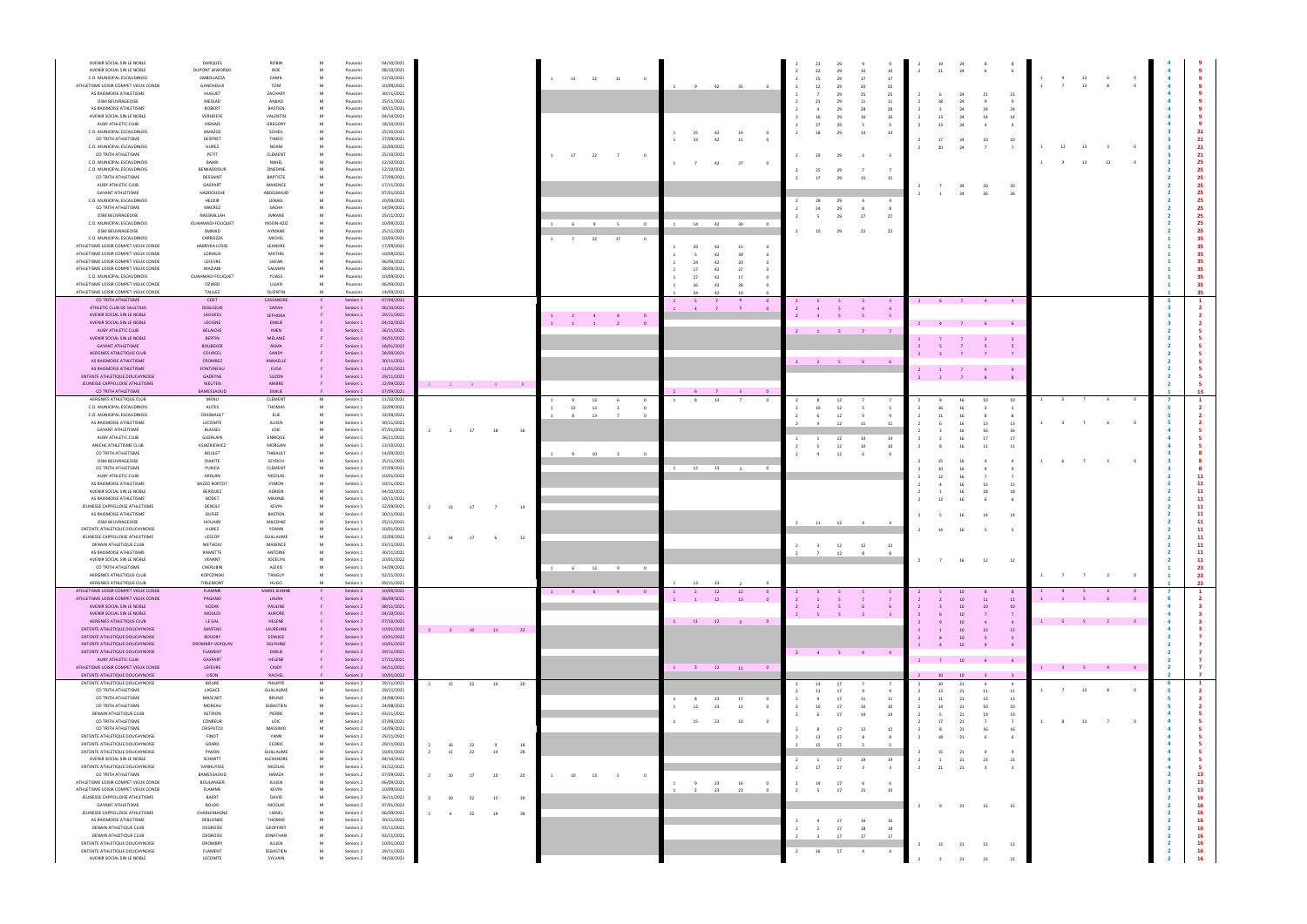| AVENIR SOCIAL SIN LE NOBLE<br>AVENIR SOCIAL SIN LE NOBLE<br>C.O. MUNICIPAL ESCAUDINOIS<br>ATHLETISME LOISIR COMPET VIEUX CONDE<br>AS RAISMOISE ATHLETISME<br><b>OSM BEUVRAGEOISE</b><br>AS RAISMOISE ATHLETISME<br>AVENIR SOCIAL SIN LE NOBLE<br><b>AUBY ATHLETIC CLUB</b><br>C.O. MUNICIPAL ESCAUDINOIS<br>CO TRITH ATHLETISME<br>C.O. MUNICIPAL ESCAUDINOIS<br>CO TRITH ATHLETISME<br>C.O. MUNICIPAL ESCAUDINOIS<br>C.O. MUNICIPAL ESCAUDINOIS<br>CO TRITH ATHLETISME<br>AUBY ATHLETIC CLUB<br><b>GAYANT ATHLETISME</b>                                                                               | <b>DARQUES</b><br><b>DUPONT JAWORSKI</b><br>EMBOUAZZA<br>GANCHEGUI<br><b>HUGUET</b><br>MESSAD<br>ROBERT<br>VERHOEYE<br><b>VIGNAIS</b><br>AMAZOZ<br><b>DESPRET</b><br><b>HUREZ</b><br>PETIT<br><b>BAHRI</b><br>BENKADDOUR<br>DESSAINT<br>GASPART<br>HADDOUCHE                        | <b>ROBIN</b><br><b>NOE</b><br>CAMIL<br><b>TOM</b><br>ZACHARY<br>AMJAD<br><b>BASTIEN</b><br>VALENTIN<br>GREGORY<br>SOHEIL<br><b>TIMEO</b><br><b>NOAM</b><br><b>CLEMENT</b><br>NAHEL<br>ZINEDINE<br><b>BAPTISTE</b><br>MAXENCE<br>ABDELMAJID                       | 04/10/2021<br>Poussins<br>08/10/2021<br>Poussins<br>12/10/2021<br>Poussins<br>10/09/2021<br>Poussins<br>30/11/2021<br>Poussins<br>25/11/2021<br>Poussins<br>30/11/2021<br>Poussins<br>04/10/2021<br>Poussins<br>18/10/2021<br>Poussins<br>25/10/2021<br>Poussins<br>27/09/2021<br>Poussins<br>22/09/2021<br>Poussins<br>25/10/2021<br>Poussins<br>12/10/2021<br>Poussins<br>12/10/2021<br>Poussins<br>27/09/2021<br>Poussins<br>17/11/2021<br>Poussins<br>07/01/2022<br>Poussins                                                                                                          |                                         | 22<br>13<br>11<br>17<br>22 |                                                     | 29<br>23<br>10<br>17<br>∩ר<br>20<br>28<br>16<br>14<br>29<br>- 29<br>-29<br>29<br>15<br>15 | 24<br>21<br>24<br>- 14<br>10<br>24<br>20<br>20<br>26           |  |
|---------------------------------------------------------------------------------------------------------------------------------------------------------------------------------------------------------------------------------------------------------------------------------------------------------------------------------------------------------------------------------------------------------------------------------------------------------------------------------------------------------------------------------------------------------------------------------------------------------|-------------------------------------------------------------------------------------------------------------------------------------------------------------------------------------------------------------------------------------------------------------------------------------|------------------------------------------------------------------------------------------------------------------------------------------------------------------------------------------------------------------------------------------------------------------|-------------------------------------------------------------------------------------------------------------------------------------------------------------------------------------------------------------------------------------------------------------------------------------------------------------------------------------------------------------------------------------------------------------------------------------------------------------------------------------------------------------------------------------------------------------------------------------------|-----------------------------------------|----------------------------|-----------------------------------------------------|-------------------------------------------------------------------------------------------|----------------------------------------------------------------|--|
| C.O. MUNICIPAL ESCAUDINOIS<br>CO TRITH ATHLETISME<br>OSM BEUVRAGEOISE<br>C.O. MUNICIPAL ESCAUDINOIS<br>OSM BEUVRAGEOISE<br><b>C.O. MUNICIPAL ESCAUDINOIS</b><br>ATHLETISME LOISIR COMPET VIEUX CONDE<br>ATHLETISME LOISIR COMPET VIEUX CONDE<br>ATHLETISME LOISIR COMPET VIEUX CONDE<br>ATHLETISME LOISIR COMPET VIEUX CONDE<br>C.O. MUNICIPAL ESCAUDINOIS<br>ATHLETISME LOISIR COMPET VIEUX CONDE<br>ATHLETISME LOISIR COMPET VIEUX CONDE<br>CO TRITH ATHLETISME                                                                                                                                       | <b>HELOIR</b><br>MACREZ<br>NASSRALLAH<br>OUAHMADI-FOUQUET<br>SMIMID<br>CARROZZA<br><b>HABRYKA LOSSE</b><br>LORIAUX<br>LEFEVRE<br>MAZIANI<br><b>OUAHMADI FOUQUET</b><br><b>OZIARD</b><br><b>TAILLEZ</b><br><b>COET</b>                                                               | LENAEL<br>SACHA<br><b>IMRANE</b><br>YASSIN-AZIZ<br>AYMANE<br><b>MICHEL</b><br>LEANDRE<br><b>MATHIS</b><br>SHEAN<br>SALMAN<br>YLIASS<br>LILIAN<br>QUENTIN<br>CASSANDRE                                                                                            | 10/09/2021<br>Poussins<br>14/09/2021<br>Poussins<br>25/11/2021<br>Poussins<br>10/09/2021<br>Poussins<br>25/11/2021<br>Poussins<br>10/09/2021<br>Poussins<br>17/09/2021<br>Poussins<br>10/09/2021<br>Poussins<br>06/09/2021<br>Poussins<br>NЛ<br>28/09/2021<br>Poussins<br>10/09/2021<br>Poussins<br>NЛ<br>06/09/2021<br>Poussins<br>14/09/2021<br>Poussins<br>07/09/2021<br>Seniors 1                                                                                                                                                                                                     |                                         | 22<br>17                   | 15<br>42                                            | -29<br>27<br>22<br>22<br>29                                                               | $\overline{7}$<br>6 <sup>6</sup><br>$\overline{\phantom{a}}$ 4 |  |
| ATHLETIC CLUB DE SAULTAIN<br>AVENIR SOCIAL SIN LE NOBLE<br>AVENIR SOCIAL SIN LE NOBLE<br><b>AUBY ATHLETIC CLUB</b><br>AVENIR SOCIAL SIN LE NOBLE<br><b>GAYANT ATHLETISME</b><br>HERGNIES ATHLETIQUE CLUB<br>AS RAISMOISE ATHLETISME<br>AS RAISMOISE ATHLETISME<br>ENTENTE ATHLETIQUE DOUCHYNOISE<br>JEUNESSE CAPPELLOISE ATHLETISME<br>CO TRITH ATHLETISME                                                                                                                                                                                                                                              | <b>DEBLIQUIS</b><br>LAOUEDJ<br><b>LECIGNE</b><br><b>BELAICHE</b><br><b>BERTIN</b><br><b>BOUBEKER</b><br>COURCEL<br>CROMBEZ<br>FONTENEAU<br>GADEYNE<br>WEUTEN<br>BAMESSAOUD                                                                                                          | SARAH<br>SEPHORA<br><b>EMILIE</b><br><b>IMEN</b><br>MELANIE<br>ASMA<br>SANDY<br>ANNAELLE<br>ELISA<br>SUZON<br>AMBRE<br><b>EMILIE</b>                                                                                                                             | 06/10/2021<br>Seniors 1<br>29/11/2021<br>Seniors 1<br>04/10/2021<br>Seniors 1<br>26/11/2021<br>Seniors 1<br>04/01/2022<br>Seniors 1<br>18/01/2022<br>Seniors 1<br>28/09/2021<br>Seniors 1<br>30/11/2021<br>Seniors 1<br>11/01/2022<br>Seniors 1<br>29/11/2021<br>Seniors 1<br>22/09/2021<br>Seniors 1<br>07/09/2021<br>Seniors 1                                                                                                                                                                                                                                                          | $\overline{3}$ $\overline{4}$           |                            |                                                     |                                                                                           | $\overline{4}$                                                 |  |
| HERGNIES ATHLETIQUE CLUB<br>C.O. MUNICIPAL ESCAUDINOIS<br>C.O. MUNICIPAL ESCAUDINOIS<br>AS RAISMOISE ATHLETISME<br><b>GAYANT ATHLETISME</b><br><b>AUBY ATHLETIC CLUB</b><br>ANICHE ATHLETISME CLUB<br>CO TRITH ATHLETISME<br><b>OSM BEUVRAGEOISE</b><br>CO TRITH ATHLETISME<br><b>AUBY ATHLETIC CLUB</b><br>AS RAISMOISE ATHLETISME<br>AVENIR SOCIAL SIN LE NOBLE                                                                                                                                                                                                                                       | <b>MENU</b><br><b>AUTES</b><br>CRASNAULT<br>LECOMTE<br><b>BLASSEL</b><br>GUERLAIN<br>KSIAZKIEWICZ<br><b>BOULET</b><br><b>DIAKITE</b><br><b>PUKICA</b><br>ARQUIN<br><b>BAZZO BORTOT</b><br><b>BERQUEZ</b>                                                                            | <b>CLEMENT</b><br><b>THOMAS</b><br>ELIE<br>JULIEN<br>LOIC<br><b>ENRIQUE</b><br><b>MORGAN</b><br>THIBAULT<br>SEYDOU<br><b>CLEMENT</b><br><b>NICOLAS</b><br>SYMON<br>ADRIEN                                                                                        | 11/10/2021<br>Seniors 1<br>NЛ<br>22/09/2021<br>Seniors 1<br>22/09/2021<br>Seniors 1<br>30/11/2021<br>Seniors 1<br>07/01/2022<br>Seniors 1<br>26/11/2021<br>Seniors 1<br>13/10/2021<br>Seniors 1<br>14/09/2021<br>Seniors 1<br>25/11/2021<br>Seniors 1<br>07/09/2021<br>Seniors 1<br>10/01/2022<br>Seniors 1<br>10/11/2021<br>Seniors 1<br>04/10/2021<br>Seniors 1                                                                                                                                                                                                                         |                                         | 10                         |                                                     | 12<br>12<br>14<br>14<br>10<br>10                                                          | 10<br>-13<br>16<br>17<br>16<br>11<br>15<br>- 18                |  |
| AS RAISMOISE ATHLETISME<br>JEUNESSE CAPPELLOISE ATHLETISME<br>AS RAISMOISE ATHLETISME<br>OSM BEUVRAGEOISE<br>ENTENTE ATHLETIQUE DOUCHYNOISE<br>JEUNESSE CAPPELLOISE ATHLETISME<br>DENAIN ATHLETIQUE CLUB<br>AS RAISMOISE ATHLETISME<br>AVENIR SOCIAL SIN LE NOBLE<br>CO TRITH ATHLETISME<br>HERGNIES ATHLETIQUE CLUB<br>HERGNIES ATHLETIQUE CLUB                                                                                                                                                                                                                                                        | <b>BODET</b><br><b>DENOLF</b><br><b>DUFIEF</b><br>HOUAIRI<br><b>HUREZ</b><br><b>LESCOP</b><br><b>METAOUI</b><br>RAMETTE<br>VENANT<br><b>CHERUBIN</b><br>KOPCZINSKI<br>TIRLEMONT                                                                                                     | MAXIME<br>KEVIN<br><b>BASTIEN</b><br><b>MILEDINE</b><br>YOANN<br>GUILLAUME<br>MAXENCE<br>ANTOINE<br>JOCELYN<br><b>ALEXIS</b><br>TANGUY<br>HUGO                                                                                                                   | 10/11/2021<br>Seniors 1<br>22/09/2021<br>Seniors 1<br>30/11/2021<br>Seniors 1<br>25/11/2021<br>Seniors 1<br>10/01/2022<br>Seniors 1<br>22/09/2021<br>Seniors 1<br>03/11/2021<br>Seniors 1<br>30/11/2021<br>Seniors 1<br>10/01/2022<br>Seniors 1<br>14/09/2021<br>Seniors 1<br>02/11/2021<br>Seniors 1<br>09/11/2021<br>Seniors 1                                                                                                                                                                                                                                                          | 14<br>12                                | 13                         |                                                     | 12<br>11<br>12<br>12<br>12                                                                | 14<br>16<br>12                                                 |  |
| ATHLETISME LOISIR COMPET VIEUX CONDE<br>ATHLETISME LOISIR COMPET VIEUX CONDE<br>AVENIR SOCIAL SIN LE NOBLE<br>AVENIR SOCIAL SIN LE NOBLE<br>HERGNIES ATHLETIQUE CLUB<br>ENTENTE ATHLETIQUE DOUCHYNOISE<br>ENTENTE ATHLETIQUE DOUCHYNOISE<br>ENTENTE ATHLETIQUE DOUCHYNOISE<br>ENTENTE ATHLETIQUE DOUCHYNOISE<br><b>AUBY ATHLETIC CLUB</b><br>ATHLETISME LOISIR COMPET VIEUX CONDE<br>ENTENTE ATHLETIQUE DOUCHYNOISE<br>ENTENTE ATHLETIQUE DOUCHYNOISE                                                                                                                                                   | FLAMME<br>PAGANO<br>KOZAK<br><b>MOULDI</b><br>LE GAL<br>SANTENS<br><b>BOUDRY</b><br><b>DROMBRY-VERQUIN</b><br>FLAMENT<br>GASPART<br>LEFEVRE<br><b>LISON</b><br><b>BOURE</b>                                                                                                         | <b>MARIE JEANNE</b><br>LAURA<br>PAULINE<br>AURORE<br>HELENE<br>LAURELINE<br>EDWIGE<br><b>DELPHINE</b><br><b>EMILIE</b><br>HELENE<br><b>CINDY</b><br>RACHEL<br>PHILIPPE                                                                                           | 10/09/2021<br>Seniors 2<br>06/09/2021<br>Seniors 2<br>08/11/2021<br>Seniors 2<br>04/10/2021<br>Seniors 2<br>07/10/2021<br>Seniors 2<br>10/01/2022<br>Seniors <sub>2</sub><br>10/01/2022<br>Seniors 2<br>10/01/2022<br>Seniors 2<br>29/11/2021<br>Seniors 2<br>17/11/2021<br>Seniors 2<br>04/11/2021<br>Seniors <sub>2</sub><br>10/01/2022<br>Seniors 2<br>29/11/2021<br>Seniors 2<br>M .                                                                                                                                                                                                  | 22                                      |                            | 12 <sup>1</sup><br>12<br>12<br>13<br>12<br>11<br>11 | $\overline{4}$<br>$\sim$ 4                                                                | 12<br>10<br>10<br>10<br>$-6$<br>$-6$<br>10<br>10               |  |
| CO TRITH ATHLETISME<br>CO TRITH ATHLETISME<br>CO TRITH ATHLETISME<br>DENAIN ATHLETIQUE CLUB<br>CO TRITH ATHLETISME<br>CO TRITH ATHLETISME<br>ENTENTE ATHLETIQUE DOUCHYNOISE<br>ENTENTE ATHLETIQUE DOUCHYNOISE<br>ENTENTE ATHLETIQUE DOUCHYNOISE<br>AVENIR SOCIAL SIN LE NOBLE<br>ENTENTE ATHLETIQUE DOUCHYNOISE<br>CO TRITH ATHLETISME<br>ATHLETISME LOISIR COMPET VIEUX CONDE<br>ATHLETISME LOISIR COMPET VIEUX CONDE<br>JEUNESSE CAPPELLOISE ATHLETISME<br><b>GAYANT ATHLETISME</b><br>JEUNESSE CAPPELLOISE ATHLETISME<br>AS RAISMOISE ATHLETISME<br>DENAIN ATHLETIQUE CLUB<br>DENAIN ATHLETIQUE CLUB | LAGACE<br>MASCART<br><b>MOREAU</b><br><b>ASTRION</b><br>CONREUR<br>CRISPATZU<br><b>FINOT</b><br>GRARD<br>PIWON<br><b>SCHMITT</b><br>VANHUYSSE<br>BAMESSAOUD<br><b>BOULANGER</b><br>FLAMME<br><b>BAERT</b><br><b>BOLDO</b><br>CHARLEMAGNE<br>DEBLONDE<br><b>DEGROISE</b><br>DEGROISE | GUILLAUME<br><b>BRUNO</b><br>SEBASTIEN<br>PIERRE<br>LOIC<br>MASSIMO<br>YANN<br><b>CEDRIC</b><br><b>GUILLAUME</b><br>ALEXANDRE<br><b>NICOLAS</b><br>HAMZA<br>JULIEN<br>KEVIN<br><b>DAVID</b><br><b>NICOLAS</b><br>LIONEL<br>THOMAS<br><b>GEOFFREY</b><br>JONATHAN | 29/11/2021<br>Seniors 2<br>24/08/2021<br>Seniors 2<br>24/08/2021<br>Seniors 2<br>03/11/2021<br>Seniors 2<br>07/09/2021<br>Seniors 2<br>14/09/2021<br>Seniors 2<br>29/11/2021<br>Seniors 2<br>29/11/2021<br>Seniors 2<br>10/01/2022<br>Seniors 2<br>04/10/2021<br>Seniors 2<br>01/12/2021<br>Seniors 2<br>07/09/2021<br>Seniors 2<br>06/09/2021<br>Seniors 2<br>10/09/2021<br>Seniors 2<br>26/11/2021<br>Seniors 2<br>07/01/2022<br>Seniors 2<br>06/09/2021<br>Seniors <sub>2</sub><br>30/11/2021<br>Seniors <sub>2</sub><br>03/11/2021<br>Seniors <sub>2</sub><br>03/11/2021<br>Seniors 2 | 22<br>20<br>18<br>30<br>$10^{-1}$<br>38 | 10 <sup>1</sup>            | 23<br>10                                            | 12<br>17<br>19<br>19<br>17<br>15<br>17<br>16<br>16<br>18<br>17<br>17<br>17                | 21<br>11<br>13<br>10<br>19<br>21<br>23<br>15                   |  |
| ENTENTE ATHLETIQUE DOUCHYNOISE<br>ENTENTE ATHLETIQUE DOUCHYNOISE<br>AVENIR SOCIAL SIN LE NOBLE                                                                                                                                                                                                                                                                                                                                                                                                                                                                                                          | <b>DROMBRY</b><br><b>FLAMENT</b><br>LECOMTE                                                                                                                                                                                                                                         | JULIEN<br>SEBASTIEN<br>SYLVAIN                                                                                                                                                                                                                                   | 10/01/2022<br>Seniors 2<br>29/11/2021<br>Seniors <sub>2</sub><br>04/10/2021<br>Seniors 2                                                                                                                                                                                                                                                                                                                                                                                                                                                                                                  |                                         |                            |                                                     | 17<br>16                                                                                  | 21<br>12<br>22<br>21                                           |  |

| 4<br>4<br>4<br>4<br>4<br>4<br>4<br>4<br>4<br>3<br>3<br>3<br>3<br>2<br>$\overline{\mathbf{2}}$<br>$\overline{\mathbf{2}}$<br>$\overline{\mathbf{2}}$<br>$\overline{\mathbf{2}}$<br>$\overline{\mathbf{2}}$<br>$\overline{\mathbf{2}}$<br>$\overline{\mathbf{2}}$<br>2<br>2<br>1<br>1<br>$\mathbf{1}$<br>1<br>1<br>1<br>$\mathbf{1}$<br>1<br>$\overline{\bf{5}}$<br>3<br>3<br>3<br>$\overline{\mathbf{c}}$<br>$\overline{\mathbf{2}}$<br>$\overline{\mathbf{c}}$<br>$\overline{\mathbf{c}}$<br>$\overline{\mathbf{c}}$<br>$\overline{\mathbf{2}}$<br>$\overline{\mathbf{2}}$<br>$\overline{\mathbf{2}}$<br>$\frac{1}{2}$ | 9<br>9<br>9<br>9<br>9<br>9<br>9<br>9<br>9<br>21<br>21<br>21<br>21<br>25<br>25<br>25<br>25<br>25<br>25<br>25<br>25<br>25<br>25<br>35<br>35<br>35<br>35<br>35<br>35<br>35<br>35<br>$\mathbf{1}$<br>$\overline{\mathbf{c}}$<br>$\overline{\mathbf{c}}$<br>2 5 5 5 5<br>$\frac{1}{5}$<br>5<br>5<br>5<br>13 |
|------------------------------------------------------------------------------------------------------------------------------------------------------------------------------------------------------------------------------------------------------------------------------------------------------------------------------------------------------------------------------------------------------------------------------------------------------------------------------------------------------------------------------------------------------------------------------------------------------------------------|--------------------------------------------------------------------------------------------------------------------------------------------------------------------------------------------------------------------------------------------------------------------------------------------------------|
| 7<br>5<br>5<br>5<br>4<br>4<br>4<br>3<br>3<br>3<br>$\overline{\mathbf{c}}$<br>$\overline{\mathbf{c}}$<br>$\overline{\mathbf{2}}$<br>$\overline{\mathbf{2}}$<br>$\overline{\mathbf{2}}$<br>$\overline{\mathbf{2}}$<br>2<br>$\overline{\mathbf{c}}$<br>$\overline{\mathbf{c}}$<br>$\overline{\mathbf{c}}$<br>2<br>$\overline{\mathbf{c}}$<br>$\mathbf{1}$<br>$\mathbf{1}$<br>$\overline{1}$                                                                                                                                                                                                                               | $\mathbf{1}$<br>$\overline{\mathbf{c}}$<br>$\overline{\mathbf{c}}$<br>$\overline{\mathbf{c}}$<br>5<br>5<br>5<br>8<br>8<br>8<br>11<br>11<br>11<br>11<br>11<br>11<br>11<br>11<br>11<br>11<br>11<br>11<br>23<br>23<br>23                                                                                  |
| 7<br>6<br>4<br>4<br>4<br>4                                                                                                                                                                                                                                                                                                                                                                                                                                                                                                                                                                                             | $\mathbf{1}$<br>$\overline{\mathbf{c}}$<br>3<br>3<br>3<br>3<br>7<br>77777                                                                                                                                                                                                                              |
| 65554<br>4<br>4<br>4<br>4<br>4<br>4<br>4<br>3<br>3<br>3<br>$\overline{\mathbf{c}}$<br>$\begin{array}{c} 2 \\ 2 \\ 2 \end{array}$<br>2<br>$\overline{\mathbf{c}}$<br>$\frac{2}{2}$<br>$\overline{\mathbf{2}}$                                                                                                                                                                                                                                                                                                                                                                                                           | $\frac{1}{2}$<br>25555555<br>5<br>13<br>13<br>13<br>16<br>16<br>16<br>16<br>16<br>16<br>16<br>16<br>16                                                                                                                                                                                                 |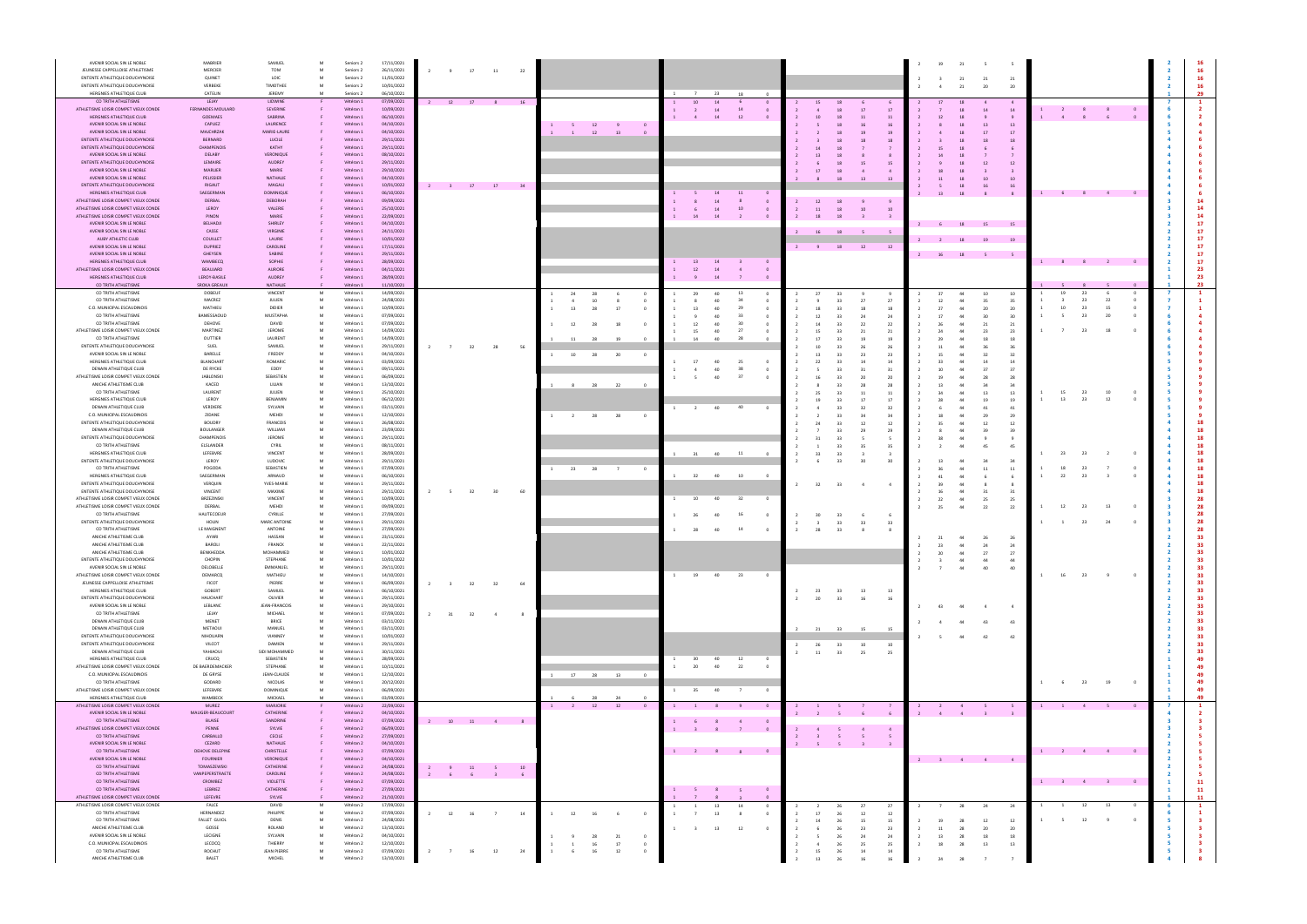| AVENIR SOCIAL SIN LE NOBLE                                             | <b>MABRIER</b>                       | SAMUEL                              | M<br>Seniors 2                                 | 17/11/2021               |          |                        |    |                      |    |    |    |           |                             |          | 19  |                  |                |           |                            |          |  |
|------------------------------------------------------------------------|--------------------------------------|-------------------------------------|------------------------------------------------|--------------------------|----------|------------------------|----|----------------------|----|----|----|-----------|-----------------------------|----------|-----|------------------|----------------|-----------|----------------------------|----------|--|
| JEUNESSE CAPPELLOISE ATHLETISME                                        | <b>MERCIER</b>                       | TOM                                 | Seniors 2<br>M                                 | 26/11/2021               |          | 22<br>$-11$            |    |                      |    |    |    |           |                             |          |     |                  |                |           |                            |          |  |
| ENTENTE ATHLETIQUE DOUCHYNOISE<br>ENTENTE ATHLETIQUE DOUCHYNOISE       | QUINET<br>VERBEKE                    | LOIC<br><b>TIMOTHEE</b>             | Seniors 2<br>M<br>Seniors 2<br>M               | 11/01/2022<br>10/01/2022 |          |                        |    |                      |    |    |    |           |                             |          |     |                  |                | -21       |                            |          |  |
| HERGNIES ATHLETIQUE CLUB                                               | <b>CATELIN</b>                       | JEREMY                              | M<br>Seniors 2                                 | 06/10/2021               |          |                        |    |                      |    |    |    |           |                             |          |     | 20               |                |           |                            |          |  |
| CO TRITH ATHLETISME                                                    | LEJAY                                | LIDWINE                             | Vétéran 1                                      | 07/09/2021               | 12<br>17 | 16                     |    |                      |    |    |    |           |                             |          |     |                  |                |           |                            |          |  |
| ATHLETISME LOISIR COMPET VIEUX CONDE<br>HERGNIES ATHLETIQUE CLUB       | <b>FERNANDES MOULARD</b><br>GOEMAES  | SEVERINE<br>SABRINA                 | Vétéran 1<br>Vétéran 1                         | 10/09/2021<br>06/10/2021 |          |                        |    |                      |    |    |    |           |                             |          |     |                  |                | 14        |                            |          |  |
| AVENIR SOCIAL SIN LE NOBLE                                             | <b>CAPLIEZ</b>                       | LAURENCE                            | Vétéran 1                                      | 04/10/2021               |          |                        |    |                      |    |    |    |           |                             |          |     |                  |                | 13        |                            |          |  |
| AVENIR SOCIAL SIN LE NOBLE                                             | <b>MAJCHRZAK</b>                     | MARIE-LAURE                         | Vétéran 1                                      | 04/10/2021               |          |                        |    | <b>13</b>            |    |    |    |           |                             |          |     |                  |                | 17        |                            |          |  |
| ENTENTE ATHLETIQUE DOUCHYNOISE<br>ENTENTE ATHLETIQUE DOUCHYNOISE       | BERNARD<br>CHAMPENOIS                | <b>LUCILE</b><br><b>KATHY</b>       | Vétéran 1<br>Vétéran 1                         | 29/11/2021<br>29/11/2021 |          |                        |    |                      |    |    |    |           |                             |          |     |                  |                | -18       |                            |          |  |
| AVENIR SOCIAL SIN LE NOBLE                                             | <b>DELABY</b>                        | VERONIQUE                           | Vétéran 1                                      | 08/10/2021               |          |                        |    |                      |    |    |    |           |                             |          |     |                  |                |           |                            |          |  |
| ENTENTE ATHLETIQUE DOUCHYNOISE                                         | LEMAIRE                              | AUDREY                              | Vétéran 1                                      | 29/11/2021               |          |                        |    |                      |    |    |    |           |                             |          |     |                  |                | <b>12</b> |                            |          |  |
| AVENIR SOCIAL SIN LE NOBLE<br>AVENIR SOCIAL SIN LE NOBLE               | MARLIER<br>PELISSIER                 | <b>MARIE</b><br><b>NATHALIE</b>     | Vétéran 1<br>Vétéran 1                         | 29/10/2021<br>04/10/2021 |          |                        |    |                      |    |    |    |           |                             |          |     |                  |                |           |                            |          |  |
| ENTENTE ATHLETIQUE DOUCHYNOISE                                         | RIGAUT                               | MAGALI                              | Vétéran 1                                      | 10/01/2022               | 17       | 34<br>17               |    |                      |    |    |    |           |                             |          |     |                  |                |           |                            |          |  |
| HERGNIES ATHLETIQUE CLUB<br>ATHLETISME LOISIR COMPET VIEUX CONDE       | SAEGERMAN<br><b>DERBAL</b>           | <b>DOMINIQUE</b><br><b>DEBORAH</b>  | Vétéran 1<br>Vétéran 1                         | 06/10/2021<br>09/09/2021 |          |                        |    |                      |    |    |    |           |                             |          | 13  |                  |                |           |                            |          |  |
| ATHLETISME LOISIR COMPET VIEUX CONDE                                   | LEROY                                | VALERIE                             | Vétéran 1                                      | 25/10/2021               |          |                        |    |                      |    |    |    |           |                             |          |     |                  |                |           |                            |          |  |
| ATHLETISME LOISIR COMPET VIEUX CONDE                                   | PINON                                | <b>MARIE</b>                        | Vétéran 1                                      | 22/09/2021               |          |                        |    |                      | 14 |    |    |           |                             |          |     |                  |                |           |                            |          |  |
| AVENIR SOCIAL SIN LE NOBLE<br>AVENIR SOCIAL SIN LE NOBLE               | BELHADJI<br>CASSE                    | <b>SHIRLEY</b><br><b>VIRGINIE</b>   | Vétéran 1<br>Vétéran 1                         | 04/10/2021<br>24/11/2021 |          |                        |    |                      |    |    |    |           |                             |          |     | 18<br>15         |                | 15        |                            |          |  |
| <b>AUBY ATHLETIC CLUB</b>                                              | <b>COUILLET</b>                      | LAURIE                              | Vétéran 1                                      | 10/01/2022               |          |                        |    |                      |    |    |    | 16        | 18                          |          |     | 18<br>19         |                | 19        |                            |          |  |
| AVENIR SOCIAL SIN LE NOBLE                                             | <b>DUPRIEZ</b>                       | CAROLINE                            | Vétéran 1<br><b>Contract Contract Contract</b> | 17/11/2021               |          |                        |    |                      |    |    |    |           | 9 18 12                     |          |     |                  |                |           |                            |          |  |
| AVENIR SOCIAL SIN LE NOBLE<br>HERGNIES ATHLETIQUE CLUB                 | GHEYSEN<br>WAMBECQ                   | SABINE<br>SOPHIE                    | Vétéran 1<br>Vétéran 1                         | 29/11/2021<br>28/09/2021 |          |                        |    |                      |    |    |    |           |                             |          | 16  | 18 5             |                |           | 8                          |          |  |
| ATHLETISME LOISIR COMPET VIEUX CONDE                                   | BEAUJARD                             | <b>AURORE</b>                       | Vétéran 1                                      | 04/11/2021               |          |                        |    |                      |    |    |    |           |                             |          |     |                  |                |           |                            |          |  |
| HERGNIES ATHLETIQUE CLUB                                               | LEROY-BASILE                         | AUDREY                              | Vétéran 1                                      | 28/09/2021               |          |                        |    |                      |    |    |    |           |                             |          |     |                  |                |           |                            |          |  |
| CO TRITH ATHLETISME<br>CO TRITH ATHLETISME                             | <b>SROKA GREAUX</b><br><b>DOBEUF</b> | NATHALIE<br><b>VINCENT</b>          | Vétéran 1<br>Vétéran 1<br>M                    | 11/10/2021<br>14/09/2021 |          |                        |    |                      |    |    |    |           |                             |          |     |                  |                |           |                            |          |  |
| CO TRITH ATHLETISME                                                    | <b>MACREZ</b>                        | JULIEN                              | Vétéran 1<br>M                                 | 24/08/2021               |          |                        |    |                      |    |    |    |           |                             |          |     |                  |                |           |                            |          |  |
| C.O. MUNICIPAL ESCAUDINOIS                                             | MATHIEU                              | <b>DIDIER</b>                       | Vétéran                                        | 10/09/2021               |          |                        |    |                      |    |    |    |           |                             |          |     |                  |                |           |                            |          |  |
| CO TRITH ATHLETISME<br>CO TRITH ATHLETISME                             | BAMESSAOUD<br><b>DEHOVE</b>          | MUSTAPHA<br>DAVID                   | Vétéran<br>M<br>Vétéran 1<br>M                 | 07/09/2021<br>07/09/2021 |          |                        |    |                      |    |    |    |           |                             |          |     |                  |                |           |                            |          |  |
| ATHLETISME LOISIR COMPET VIEUX CONDE                                   | MARTINEZ                             | <b>JEROME</b>                       | Vétéran<br>M                                   | 14/09/2021               |          |                        |    |                      |    |    |    |           |                             |          |     |                  |                |           |                            |          |  |
| CO TRITH ATHLETISME                                                    | OUTTIER                              | LAURENT                             | Vétéran<br>M                                   | 14/09/2021               |          |                        |    |                      |    |    |    |           |                             |          |     |                  |                |           |                            |          |  |
| ENTENTE ATHLETIQUE DOUCHYNOISE<br>AVENIR SOCIAL SIN LE NOBLE           | SUEL<br><b>BARELLE</b>               | SAMUEL<br>FREDDY                    | Vétéran<br>M<br>Vétéran                        | 29/11/2021<br>04/10/2021 |          | 56                     | 10 | 28<br>20             |    |    |    |           |                             |          |     |                  |                |           |                            |          |  |
| HERGNIES ATHLETIQUE CLUB                                               | <b>BLANCHART</b>                     | ROMARIC                             | Vétéran<br>M                                   | 03/09/2021               |          |                        |    |                      |    |    |    |           |                             |          |     |                  |                |           |                            |          |  |
| DENAIN ATHLETIQUE CLUB<br>ATHLETISME LOISIR COMPET VIEUX CONDE         | <b>DE RYCKE</b><br>JABLONSKI         | EDDY<br>SEBASTIEN                   | Vétéran<br>Vétéran<br>M                        | 09/11/2021<br>06/09/2021 |          |                        |    |                      |    |    |    |           |                             |          |     |                  |                |           |                            |          |  |
| ANICHE ATHLETISME CLUB                                                 | KACED                                | LILIAN                              | Vétéran                                        | 13/10/2021               |          |                        |    | 28<br>22             |    |    |    |           |                             |          |     |                  |                |           |                            |          |  |
| CO TRITH ATHLETISME                                                    | LAURENT                              | JULIEN                              | Vétéran<br>M                                   | 25/10/2021               |          |                        |    |                      |    |    |    |           |                             |          |     |                  |                |           |                            |          |  |
| HERGNIES ATHLETIQUE CLUB<br>DENAIN ATHLETIQUE CLUB                     | LEROY<br>VERDIERE                    | BENJAMIN<br>SYLVAIN                 | Vétéran<br>M<br>Vétéran<br>M                   | 06/12/2021               |          |                        |    |                      |    |    | 40 |           |                             |          |     |                  |                |           |                            |          |  |
| C.O. MUNICIPAL ESCAUDINOIS                                             | ZIDANE                               | <b>MEHDI</b>                        | Vétéran                                        | 03/11/2021<br>12/10/2021 |          |                        |    | 28<br>28             |    |    |    |           |                             |          |     |                  |                |           |                            |          |  |
| ENTENTE ATHLETIQUE DOUCHYNOISE                                         | <b>BOUDRY</b>                        | <b>FRANCOIS</b>                     | Vétéran 1<br>M                                 | 26/08/2021               |          |                        |    |                      |    |    |    |           |                             |          |     |                  |                | 12        |                            |          |  |
| DENAIN ATHLETIQUE CLUB<br>ENTENTE ATHLETIQUE DOUCHYNOISE               | BOULANGER<br>CHAMPENOIS              | WILLIAM<br><b>JEROME</b>            | Vétéran<br>Vétéran 1                           | 23/09/2021<br>29/11/2021 |          |                        |    |                      |    |    |    |           |                             |          |     | $\Omega$         |                |           |                            |          |  |
| CO TRITH ATHLETISME                                                    | ELSLANDER                            | <b>CYRIL</b>                        | Vétéran 1<br>M                                 | 08/11/2021               |          |                        |    |                      |    |    |    | 31        | 33                          | 35       | 38  | 44<br>-45<br>-44 |                | 45        |                            |          |  |
| HERGNIES ATHLETIQUE CLUB                                               | LEFEBVRE                             | <b>VINCENT</b>                      | Vétéran 1<br>M                                 | 28/09/2021               |          |                        |    |                      |    |    |    |           |                             |          |     |                  |                |           |                            | 23<br>23 |  |
| ENTENTE ATHLETIQUE DOUCHYNOISE<br>CO TRITH ATHLETISME                  | LEROY<br>POGODA                      | LUDOVIC<br>SEBASTIEN                | Vétéran 1<br>M<br>Vétéran 1<br>M               | 29/11/2021<br>07/09/2021 |          |                        |    |                      |    |    |    |           |                             |          |     |                  |                |           |                            |          |  |
| HERGNIES ATHLETIQUE CLUB                                               | SAEGERMAN                            | ARNAUD                              | Vétéran<br>M                                   | 06/10/2021               |          |                        | 23 | 28                   | 32 | 40 | 10 |           |                             |          |     |                  |                |           |                            |          |  |
| ENTENTE ATHLETIQUE DOUCHYNOISE                                         | VERQUIN                              | YVES-MARIE                          | Vétéran 1<br>M                                 | 29/11/2021               |          |                        |    |                      |    |    |    |           | 33                          |          |     |                  |                |           |                            |          |  |
| ENTENTE ATHLETIQUE DOUCHYNOISE<br>ATHLETISME LOISIR COMPET VIEUX CONDE | <b>VINCENT</b><br>BRZEZINSKI         | MAXIME<br><b>VINCENT</b>            | Vétéran<br>M<br>Vétéran 1                      | 29/11/2021<br>10/09/2021 |          | 60                     |    |                      |    |    |    |           |                             |          |     |                  |                |           |                            |          |  |
| ATHLETISME LOISIR COMPET VIEUX CONDE                                   | <b>DERBAL</b>                        | <b>MEHDI</b>                        | Vétéran 1                                      | 09/09/2021               |          |                        |    |                      |    |    |    |           |                             |          | -25 | -25<br>22        |                | - 25      |                            |          |  |
| CO TRITH ATHLETISME                                                    | HAUTECOEUR                           | <b>CYRILLE</b>                      | Vétéran 1<br>NЛ                                | 27/09/2021               |          |                        |    |                      |    |    |    |           |                             |          |     |                  |                |           |                            |          |  |
| ENTENTE ATHLETIQUE DOUCHYNOISE<br>CO TRITH ATHLETISME                  | <b>HOLIN</b><br>LE MAIGNENT          | <b>MARC ANTOINE</b><br>ANTOINE      | Vétéran 1<br>M<br>Vétéran 1<br>M               | 29/11/2021<br>27/09/2021 |          |                        |    |                      |    |    |    |           |                             |          |     |                  |                |           |                            | 23       |  |
| ANICHE ATHLETISME CLUB                                                 | AYARI                                | HASSAN                              | Vétéran<br>M                                   | 23/11/2021               |          |                        |    |                      |    |    |    |           |                             |          |     |                  |                | ZO.       |                            |          |  |
| ANICHE ATHLETISME CLUB                                                 | <b>BAROLI</b>                        | <b>FRANCK</b>                       | Vétéran 1<br>NЛ                                | 22/11/2021               |          |                        |    |                      |    |    |    |           |                             |          |     |                  |                |           |                            |          |  |
| ANICHE ATHLETISME CLUB<br>ENTENTE ATHLETIQUE DOUCHYNOISE               | BENKHEDDA<br><b>CHOPIN</b>           | MOHAMMED<br>STEPHANE                | Vétéran<br>M<br>Vétéran 1<br>M                 | 10/01/2022<br>10/01/2022 |          |                        |    |                      |    |    |    |           |                             |          |     |                  |                |           |                            |          |  |
| AVENIR SOCIAL SIN LE NOBLE                                             | <b>DELOBELLE</b>                     | EMMANUEL                            | Vétéran<br>M                                   | 29/11/2021               |          |                        |    |                      |    |    |    |           |                             |          |     | -40              |                |           |                            |          |  |
| ATHLETISME LOISIR COMPET VIEUX CONDE                                   | DEMARCQ                              | MATHIEU                             | Vétéran<br>M                                   | 14/10/2021               |          |                        |    |                      |    |    |    |           |                             |          |     |                  |                |           |                            |          |  |
| JEUNESSE CAPPELLOISE ATHLETISME<br>HERGNIES ATHLETIQUE CLUB            | <b>FICOT</b><br><b>GOBERT</b>        | PIERRE<br>SAMUEL                    | Vétéran 1<br>M<br>Vétéran 1<br>M               | 06/09/2021<br>06/10/2021 |          | 64                     |    |                      |    |    |    |           |                             | 13       |     |                  |                |           |                            |          |  |
| ENTENTE ATHLETIQUE DOUCHYNOISE                                         | HAUCHART                             | <b>OLIVIER</b>                      | Vétéran<br>M                                   | 29/11/2021               |          |                        |    |                      |    |    |    |           | 33                          |          |     |                  |                |           |                            |          |  |
| AVENIR SOCIAL SIN LE NOBLE                                             | LEBLANC                              | JEAN-FRANCOIS                       | Vétéran 1<br>M                                 | 29/10/2021               |          |                        |    |                      |    |    |    |           |                             |          |     |                  |                |           |                            |          |  |
| CO TRITH ATHLETISME<br>DENAIN ATHLETIQUE CLUB                          | LEJAY<br><b>MENET</b>                | MICHAEL<br><b>BRICE</b>             | Vétéran 1<br>M<br>Vétéran                      | 07/09/2021<br>03/11/2021 |          |                        |    |                      |    |    |    |           |                             |          |     |                  |                | 43        |                            |          |  |
| <b>DENAIN ATHLETIQUE CLUB</b>                                          | <b>METAOUI</b>                       | MANUEL                              | Vétéran                                        | 03/11/2021               |          |                        |    |                      |    |    |    | 21        | $\overline{\phantom{1}}$ 33 | 15<br>15 |     |                  |                |           |                            |          |  |
| ENTENTE ATHLETIQUE DOUCHYNOISE<br>ENTENTE ATHLETIQUE DOUCHYNOISE       | NIHOUARN<br><b>VILCOT</b>            | VIANNEY<br><b>DAMIEN</b>            | Vétéran 1<br>Vétéran<br>NЛ                     | 10/01/2022<br>29/11/2021 |          |                        |    |                      |    |    |    |           | 10                          | 10       |     | 44<br>42         |                | 42        |                            |          |  |
| DENAIN ATHLETIQUE CLUB                                                 | YAHIAOUI                             | SIDI MOHAMMED                       | Vétéran                                        | 30/11/2021               |          |                        |    |                      |    |    |    | -26<br>11 | 33                          | 25<br>25 |     |                  |                |           |                            |          |  |
| HERGNIES ATHLETIQUE CLUB                                               | CRUCQ                                | SEBASTIEN                           | Vétéran<br>NЛ                                  | 28/09/2021               |          |                        |    |                      |    |    |    |           |                             |          |     |                  |                |           |                            |          |  |
| ATHLETISME LOISIR COMPET VIEUX CONDE<br>C.O. MUNICIPAL ESCAUDINOIS     | DE BAERDEMACKER<br>DE GRYSE          | <b>STEPHANE</b><br>JEAN-CLAUDE      | Vétéran<br>Vétéran<br>M                        | 10/11/2021<br>12/10/2021 |          |                        | 17 | 28<br>13             |    |    |    |           |                             |          |     |                  |                |           |                            |          |  |
| CO TRITH ATHLETISME                                                    | GODARD                               | <b>NICOLAS</b>                      | Vétéran                                        | 20/12/2021               |          |                        |    |                      |    |    |    |           |                             |          |     |                  |                |           |                            |          |  |
| ATHLETISME LOISIR COMPET VIEUX CONDE                                   | LEFEBVRE                             | <b>DOMINIQUE</b>                    | Vétéran<br>M                                   | 06/09/2021               |          |                        |    |                      |    |    |    |           |                             |          |     |                  |                |           |                            |          |  |
| HERGNIES ATHLETIQUE CLUB<br>ATHLETISME LOISIR COMPET VIEUX CONDE       | WAMBECK<br><b>MUREZ</b>              | <b>MICKAEL</b><br><b>MARJORIE</b>   | Vétéran<br>M<br>Vétéran 2                      | 03/09/2021<br>22/09/2021 |          |                        |    | 28<br>24<br>12<br>12 |    |    |    |           |                             |          |     |                  |                |           |                            |          |  |
| AVENIR SOCIAL SIN LE NOBLE                                             | MAUGER-BEAUCOURT                     | <b>CATHERINE</b>                    | Vétéran 2                                      | 04/10/2021               |          |                        |    |                      |    |    |    |           |                             |          |     |                  |                |           |                            |          |  |
| CO TRITH ATHLETISME                                                    | <b>BLAISE</b>                        | SANDRINE                            | Vétéran 2                                      | 07/09/2021               | 10       | 11 4<br>8 <sup>2</sup> |    |                      |    |    |    |           |                             |          |     |                  |                |           |                            |          |  |
| ATHLETISME LOISIR COMPET VIEUX CONDE<br>CO TRITH ATHLETISME            | PENNE<br>CARBALLO                    | SYLVIE<br><b>CECILE</b>             | Vétéran 2<br>Vétéran 2                         | 06/09/2021<br>27/09/2021 |          |                        |    |                      |    |    |    |           |                             |          |     |                  |                |           |                            |          |  |
| AVENIR SOCIAL SIN LE NOBLE                                             | <b>CEZARD</b>                        | <b>NATHALIE</b>                     | Vétéran 2                                      | 04/10/2021               |          |                        |    |                      |    |    |    |           |                             |          |     |                  |                |           |                            |          |  |
| CO TRITH ATHLETISME                                                    | DEHOVE DELEPINE                      | <b>CHRISTELLE</b>                   | Vétéran 2                                      | 07/09/2021               |          |                        |    |                      |    |    |    |           |                             |          |     |                  |                |           | $\overline{\phantom{0}}$ 2 |          |  |
| AVENIR SOCIAL SIN LE NOBLE<br>CO TRITH ATHLETISME                      | <b>FOURNIER</b><br>TOMASZEWSKI       | VERONIQUE<br><b>CATHERINE</b>       | Vétéran 2<br>Vétéran 2                         | 04/10/2021<br>24/08/2021 | 11       | 10                     |    |                      |    |    |    |           |                             |          |     | $3 \t 4 \t 4$    | $\overline{4}$ |           |                            |          |  |
| CO TRITH ATHLETISME                                                    | VANPEPERSTRAETE                      | CAROLINE                            | Vétéran 2                                      | 24/08/2021               |          |                        |    |                      |    |    |    |           |                             |          |     |                  |                |           |                            |          |  |
| CO TRITH ATHLETISME<br>CO TRITH ATHLETISME                             | <b>CROMBEZ</b><br>LEBRIEZ            | <b>VIOLETTE</b><br><b>CATHERINE</b> | Vétéran 2<br>Vétéran 2                         | 07/09/2021               |          |                        |    |                      |    |    |    |           |                             |          |     |                  |                |           |                            |          |  |
| ATHLETISME LOISIR COMPET VIEUX CONDE                                   | LEFEVRE                              | SYLVIE                              | Vétéran 2                                      | 27/09/2021<br>21/10/2021 |          |                        |    |                      |    |    |    |           |                             |          |     |                  |                |           |                            |          |  |
| ATHLETISME LOISIR COMPET VIEUX CONDE                                   | <b>FALCE</b>                         | <b>DAVID</b>                        | Vétéran 2<br>M                                 | 17/09/2021               |          |                        |    |                      |    |    |    |           |                             | 27       |     | 24<br>28         |                | 24        |                            |          |  |
| CO TRITH ATHLETISME<br>CO TRITH ATHLETISME                             | HERNANDEZ<br><b>FALLET GUIOL</b>     | PHILIPPE<br><b>DENIS</b>            | Vétéran<br>NЛ<br>Vétéran                       | 07/09/2021<br>24/08/2021 |          | 14                     |    |                      |    |    |    |           |                             | 12       |     |                  |                |           |                            |          |  |
| ANICHE ATHLETISME CLUB                                                 | GOSSE                                | ROLAND                              | Vétéran                                        | 13/10/2021               |          |                        |    |                      |    |    | 12 |           |                             | 23       |     |                  |                | 12        |                            |          |  |
| AVENIR SOCIAL SIN LE NOBLE                                             | <b>LECIGNE</b>                       | SYLVAIN                             | Vétéran 2<br>M                                 | 04/10/2021               |          |                        |    | 28                   |    |    |    |           |                             | 24       |     |                  |                |           |                            |          |  |
| C.O. MUNICIPAL ESCAUDINOIS<br>CO TRITH ATHLETISME                      | LECOCQ<br>ROCHUT                     | THIERRY<br><b>JEAN PIERRE</b>       | Vétéran 2<br>M<br>Vétéran 2<br>M               | 12/10/2021<br>07/09/2021 |          |                        |    |                      |    |    |    |           |                             | 25       |     |                  |                | 13        |                            |          |  |
| ANICHE ATHLETISME CLUB                                                 | <b>BALET</b>                         | <b>MICHEL</b>                       | Vétéran 2<br>M                                 | 13/10/2021               |          |                        |    |                      |    |    |    |           |                             | 14<br>16 |     |                  |                |           |                            |          |  |

| $\overline{\mathbf{c}}$<br>2<br>$\overline{\mathbf{2}}$<br>$\overline{\mathbf{2}}$<br>$\overline{\mathbf{1}}$                                                                                                                                                                                                                                                                                                                                                                                                                                                                                                                                                         | 16<br>16<br>16<br>16<br><u>29</u>                                                                                                                                                                                                                                                                                                                |
|-----------------------------------------------------------------------------------------------------------------------------------------------------------------------------------------------------------------------------------------------------------------------------------------------------------------------------------------------------------------------------------------------------------------------------------------------------------------------------------------------------------------------------------------------------------------------------------------------------------------------------------------------------------------------|--------------------------------------------------------------------------------------------------------------------------------------------------------------------------------------------------------------------------------------------------------------------------------------------------------------------------------------------------|
| 7<br>6<br>6<br>5<br>5<br>4<br>4<br>4<br>4<br>4<br>4<br>4<br>4<br>3<br>3<br>3<br>2<br>2<br>$\overline{\mathbf{2}}$<br>$\overline{\mathbf{2}}$<br>$\overline{\mathbf{c}}$<br>$\overline{\mathbf{c}}$<br>$\frac{1}{1}$                                                                                                                                                                                                                                                                                                                                                                                                                                                   | 1<br>2<br>$\overline{\mathbf{2}}$<br>4<br>4<br>6<br>6<br>6<br>6<br>6<br>6<br>6<br>6<br>14<br>14<br>14<br>17<br>17<br>17<br>17<br>17<br>17<br>23<br>23<br><u>23</u>                                                                                                                                                                               |
| $\frac{1}{7}$ $\frac{1}{7}$<br>6<br>6<br>6<br>6<br>6<br>5<br>5<br>5<br>5<br>5<br>5<br>5<br>5<br>5<br>4<br>4<br>4<br>4<br>4<br>4<br>4<br>4<br>4<br>4<br>3<br>3<br>3<br>3<br>3<br>$\overline{\mathbf{2}}$<br>$\overline{\mathbf{2}}$<br>$\overline{\mathbf{2}}$<br>$\overline{\mathbf{2}}$<br>$\overline{\mathbf{2}}$<br>$\overline{\mathbf{2}}$<br>$\overline{\mathbf{2}}$<br>$\overline{\mathbf{2}}$<br>$\overline{\mathbf{2}}$<br>$\overline{\mathbf{2}}$<br>$\overline{\mathbf{2}}$<br>$\overline{\mathbf{2}}$<br>$\overline{\mathbf{2}}$<br>$\overline{\mathbf{c}}$<br>$\overline{\mathbf{c}}$<br>2<br>$\frac{1}{1}$<br>$\begin{array}{c} 1 \\ 1 \\ 1 \end{array}$ | $\mathbf{1}$<br>$\mathbf{1}$<br>$\mathbf{1}$<br>4<br>4<br>4<br>4<br>4<br>9<br>9<br>9<br>9<br>9<br>9<br>9<br>9<br>9<br>18<br>18<br>18<br>18<br>18<br>18<br>18<br>18<br>18<br>18<br>28<br>28<br>28<br>28<br>28<br>33<br>33<br>33<br>33<br>33<br>33<br>33<br>33<br>33<br>33<br>33<br>33<br>33<br>33<br>33<br>33<br>49<br>49<br>49<br>49<br>49<br>49 |
| 7<br>4<br>3<br>3<br>$\overline{\mathbf{c}}$<br>$\overline{\mathbf{2}}$<br>$\overline{\mathbf{c}}$<br>$\overline{\mathbf{2}}$<br>$\overline{\mathbf{2}}$<br>$\overline{\mathbf{2}}$<br>1<br>$\mathbf{1}$<br>1                                                                                                                                                                                                                                                                                                                                                                                                                                                          | 1<br>2<br>3<br>3<br>5<br>5<br>5<br>5<br>5<br>5<br>11<br>11<br>11                                                                                                                                                                                                                                                                                 |
| 6<br>6<br>5<br>5<br>5<br>5<br>5<br>4                                                                                                                                                                                                                                                                                                                                                                                                                                                                                                                                                                                                                                  | 1<br>1<br>3<br>3<br>3<br>3<br>3<br>8                                                                                                                                                                                                                                                                                                             |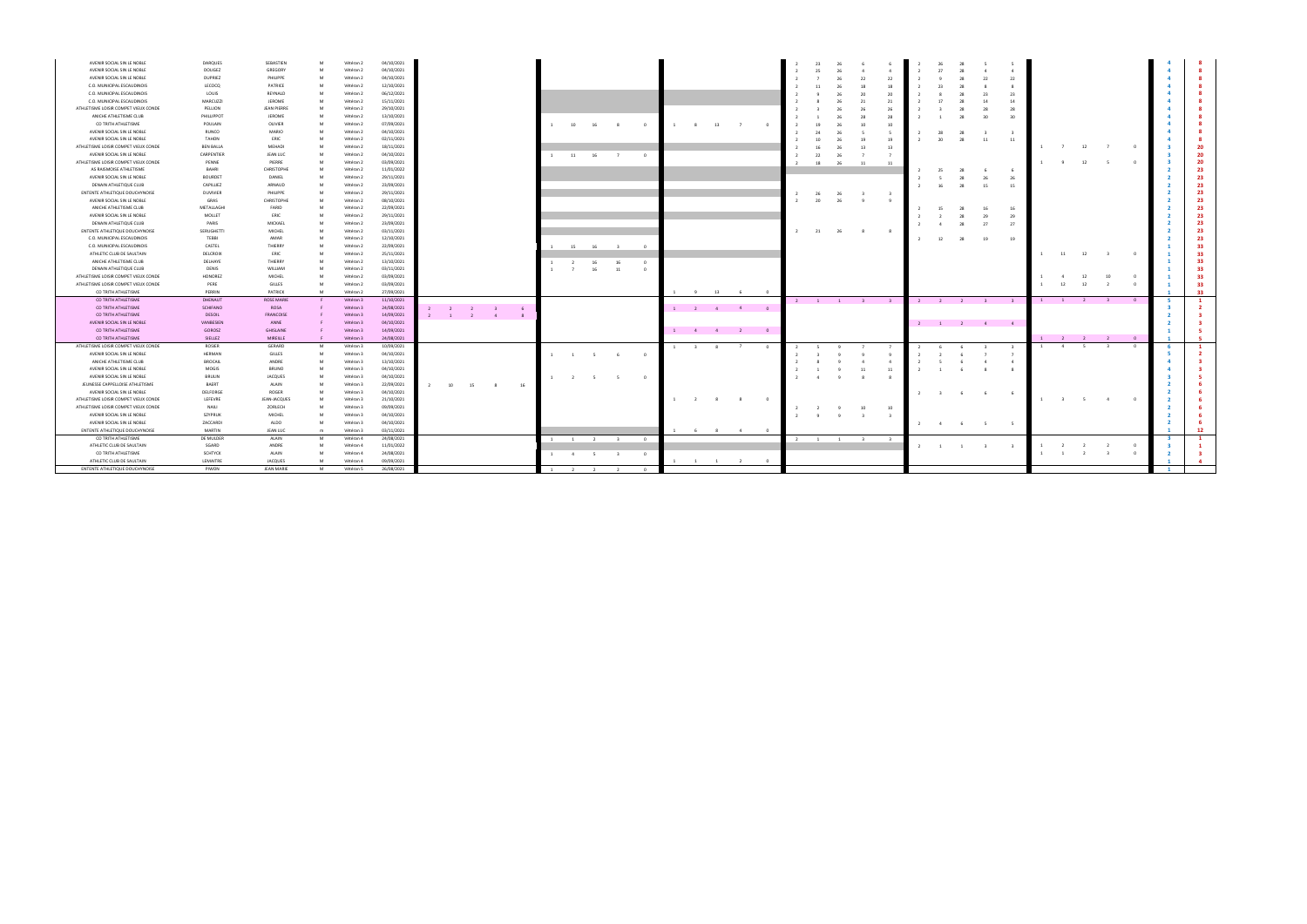| AVENIR SOCIAL SIN LE NOBLE           | <b>DARQUES</b>   | SEBASTIEN         |           | Vétéran 2 | 04/10/2021 |                             |                |      |                         |                |                |  |                 |    |  |                            |                |                |    |  |
|--------------------------------------|------------------|-------------------|-----------|-----------|------------|-----------------------------|----------------|------|-------------------------|----------------|----------------|--|-----------------|----|--|----------------------------|----------------|----------------|----|--|
| AVENIR SOCIAL SIN LE NOBLE           | <b>DOLIGEZ</b>   | GREGORY           |           | Vétéran 2 | 04/10/2021 |                             |                |      |                         |                |                |  |                 |    |  |                            |                |                |    |  |
| AVENIR SOCIAL SIN LE NOBLE           | <b>DUPRIEZ</b>   | PHILIPPE          |           | Vétéran 2 | 04/10/2021 |                             |                |      |                         |                |                |  |                 |    |  |                            |                | 22             |    |  |
| C.O. MUNICIPAL ESCAUDINOIS           | LECOCQ           | <b>PATRICE</b>    |           | Vétéran 2 | 12/10/2021 |                             |                |      |                         |                |                |  |                 | 18 |  |                            |                |                |    |  |
| C.O. MUNICIPAL ESCAUDINOIS           | LOUIS            | REYNALD           |           | Vétéran 2 | 06/12/2021 |                             |                |      |                         |                |                |  |                 |    |  |                            |                | 23             |    |  |
| C.O. MUNICIPAL ESCAUDINOIS           | <b>MARCUZZI</b>  | <b>JEROME</b>     |           | Vétéran 2 | 15/11/2021 |                             |                |      |                         |                |                |  |                 |    |  |                            |                | 14             |    |  |
| ATHLETISME LOISIR COMPET VIEUX CONDE | PELLION          | JEAN PIERRE       |           | Vétéran 2 | 29/10/2021 |                             |                |      |                         |                |                |  |                 |    |  |                            |                |                |    |  |
| ANICHE ATHLETISME CLUB               | PHILLIPPOT       | JEROME            |           | Vétéran 2 | 13/10/2021 |                             |                |      |                         |                |                |  |                 |    |  |                            |                |                |    |  |
| CO TRITH ATHLETISME                  | <b>POULAIN</b>   | OLIVIER           |           | Vétéran 2 | 07/09/2021 |                             |                |      | $\overline{\mathbf{0}}$ |                | 13             |  |                 |    |  |                            |                |                |    |  |
| AVENIR SOCIAL SIN LE NOBLE           | RUNCO            | <b>MARIO</b>      |           | Vétéran 2 | 04/10/2021 |                             |                |      |                         |                |                |  |                 |    |  |                            |                |                |    |  |
| AVENIR SOCIAL SIN LE NOBLE           | <b>TAHON</b>     | <b>ERIC</b>       |           | Vétéran 2 | 02/11/2021 |                             |                |      |                         |                |                |  |                 |    |  |                            |                | 11             |    |  |
| ATHLETISME LOISIR COMPET VIEUX CONDE | <b>BEN BALLA</b> | <b>MEHADI</b>     |           | Vétéran 2 | 18/11/2021 |                             |                |      |                         |                |                |  |                 | 13 |  |                            |                |                |    |  |
| AVENIR SOCIAL SIN LE NOBLE           | CARPENTIER       | <b>JEAN LUC</b>   |           | Vétéran 2 | 04/10/2021 |                             |                | - 16 | - 0                     |                |                |  |                 |    |  |                            |                |                |    |  |
| ATHLETISME LOISIR COMPET VIEUX CONDE | <b>PENNE</b>     | <b>PIERRE</b>     |           | Vétéran 2 | 03/09/2021 |                             |                |      |                         |                |                |  |                 |    |  |                            |                |                |    |  |
| AS RAISMOISE ATHLETISME              | <b>BAHRI</b>     | <b>CHRISTOPHE</b> |           | Vétéran 2 | 11/01/2022 |                             |                |      |                         |                |                |  |                 |    |  |                            |                |                |    |  |
| AVENIR SOCIAL SIN LE NOBLE           | <b>BOURDET</b>   | <b>DANIEL</b>     |           | Vétéran 2 | 29/11/2021 |                             |                |      |                         |                |                |  |                 |    |  |                            |                | ZO             |    |  |
| DENAIN ATHLETIQUE CLUB               | CAPILLIEZ        | ARNAUD            |           | Vétéran 2 | 23/09/2021 |                             |                |      |                         |                |                |  |                 |    |  |                            |                | 15             |    |  |
| ENTENTE ATHLETIQUE DOUCHYNOISE       | <b>DUVIVIER</b>  | PHILIPPE          |           | Vétéran 2 | 29/11/2021 |                             |                |      |                         |                |                |  | Zb.             |    |  |                            |                |                |    |  |
| AVENIR SOCIAL SIN LE NOBLE           | GRAS             | <b>CHRISTOPHE</b> |           | Vétéran 2 | 08/10/2021 |                             |                |      |                         |                |                |  | 20<br><u>26</u> |    |  |                            |                |                |    |  |
| ANICHE ATHLETISME CLUB               | METALLAGHI       | FARID             |           | Vétéran 2 | 22/09/2021 |                             |                |      |                         |                |                |  |                 |    |  |                            |                | 16             |    |  |
| AVENIR SOCIAL SIN LE NOBLE           | <b>MOLLET</b>    | <b>ERIC</b>       |           | Vétéran 2 | 29/11/2021 |                             |                |      |                         |                |                |  |                 |    |  |                            |                | 29             |    |  |
| DENAIN ATHLETIQUE CLUB               | <b>PARIS</b>     | MICKAEL           |           | Vétéran 2 | 23/09/2021 |                             |                |      |                         |                |                |  |                 |    |  |                            |                | 27             |    |  |
| ENTENTE ATHLETIQUE DOUCHYNOISE       | SERUGHETTI       | <b>MICHEL</b>     |           | Vétéran 2 | 03/11/2021 |                             |                |      |                         |                |                |  | 20              |    |  |                            |                |                |    |  |
| C.O. MUNICIPAL ESCAUDINOIS           | TEBBI            | AMAR              |           | Vétéran 2 | 12/10/2021 |                             |                |      |                         |                |                |  |                 |    |  | $\sim$                     |                | 19             |    |  |
| C.O. MUNICIPAL ESCAUDINOIS           | CASTEL           | THIERRY           |           | Vétéran 2 | 22/09/2021 |                             |                | 16   | - 0                     |                |                |  |                 |    |  |                            |                |                |    |  |
| ATHLETIC CLUB DE SAULTAIN            | <b>DELCROIX</b>  | ERIC              |           | Vétéran 2 | 25/11/2021 |                             |                |      |                         |                |                |  |                 |    |  |                            |                |                | 11 |  |
| ANICHE ATHLETISME CLUB               | DELHAYE          | THIERRY           |           | Vétéran 2 | 13/10/2021 |                             |                | 16   |                         |                |                |  |                 |    |  |                            |                |                |    |  |
| DENAIN ATHLETIQUE CLUB               | <b>DENIS</b>     | WILLIAM           |           | Vétéran 2 | 03/11/2021 |                             |                |      |                         |                |                |  |                 |    |  |                            |                |                |    |  |
| ATHLETISME LOISIR COMPET VIEUX CONDE | HONOREZ          | <b>MICHEL</b>     |           | Vétéran 2 | 03/09/2021 |                             |                |      |                         |                |                |  |                 |    |  |                            |                |                |    |  |
| ATHLETISME LOISIR COMPET VIEUX CONDE | PERE             | <b>GILLES</b>     |           | Vétéran 2 | 03/09/2021 |                             |                |      |                         |                |                |  |                 |    |  |                            |                |                |    |  |
| CO TRITH ATHLETISME                  | PERRIN           | <b>PATRICK</b>    |           | Vétéran 2 | 27/09/2021 |                             |                |      |                         |                | 13             |  |                 |    |  |                            |                |                |    |  |
| CO TRITH ATHLETISME                  | DHENAUT          | <b>ROSE MARIE</b> |           | Vétéran 3 | 11/10/2021 |                             |                |      |                         |                |                |  |                 |    |  |                            |                |                |    |  |
| CO TRITH ATHLETISME                  | SCHIFANO         | ROSA              |           | Vétéran 3 | 24/08/2021 |                             |                |      |                         |                | $2$ 4 4 0      |  |                 |    |  |                            |                |                |    |  |
| CO TRITH ATHLETISME                  | <b>DESOIL</b>    | <b>FRANCOISE</b>  |           | Vétéran 3 | 14/09/2021 |                             |                |      |                         |                |                |  |                 |    |  |                            |                |                |    |  |
| AVENIR SOCIAL SIN LE NOBLE           | VANBESIEN        | ANNE              |           | Vétéran 3 | 04/10/2021 |                             |                |      |                         |                |                |  |                 |    |  | $\overline{\phantom{a}}$ 2 | $\overline{4}$ | $\overline{4}$ |    |  |
| CO TRITH ATHLETISME                  | GOROSZ           | <b>GHISLAINE</b>  |           | Vétéran 3 | 14/09/2021 |                             |                |      |                         | $\overline{4}$ | $\overline{4}$ |  |                 |    |  |                            |                |                |    |  |
| CO TRITH ATHLETISME                  | <b>SIELLEZ</b>   | MIREILLE          |           | Vétéran 3 | 24/08/2021 |                             |                |      |                         |                |                |  |                 |    |  |                            |                |                |    |  |
| ATHLETISME LOISIR COMPET VIEUX CONDE | <b>ROSIER</b>    | GERARD            | <b>NA</b> | Vétéran 3 | 10/09/2021 |                             |                |      |                         |                |                |  |                 |    |  |                            |                |                |    |  |
| AVENIR SOCIAL SIN LE NOBLE           | HERMAN           | <b>GILLES</b>     |           | Vétéran 3 | 04/10/2021 |                             |                |      | $\overline{\mathbf{0}}$ |                |                |  |                 |    |  |                            |                |                |    |  |
| ANICHE ATHLETISME CLUB               | <b>BROCAIL</b>   | ANDRE             |           | Vétéran 3 | 13/10/2021 |                             |                |      |                         |                |                |  |                 |    |  |                            |                |                |    |  |
| AVENIR SOCIAL SIN LE NOBLE           | <b>MOGIS</b>     | <b>BRUNO</b>      |           | Vétéran 3 | 04/10/2021 |                             |                |      |                         |                |                |  |                 |    |  |                            |                |                |    |  |
| AVENIR SOCIAL SIN LE NOBLE           | <b>BRULIN</b>    | <b>JACQUES</b>    |           | Vétéran 3 | 04/10/2021 |                             |                |      |                         |                |                |  |                 |    |  |                            |                |                |    |  |
| JEUNESSE CAPPELLOISE ATHLETISME      | <b>BAERT</b>     | ALAIN             |           | Vétéran 3 | 22/09/2021 | 10 <sup>1</sup><br>16<br>15 |                |      |                         |                |                |  |                 |    |  |                            |                |                |    |  |
| AVENIR SOCIAL SIN LE NOBLE           | DELFORGE         | <b>ROGER</b>      |           | Vétéran 3 | 04/10/2021 |                             |                |      |                         |                |                |  |                 |    |  |                            |                |                |    |  |
| ATHLETISME LOISIR COMPET VIEUX CONDE | LEFEVRE          | JEAN-JACQUES      |           | Vétéran 3 | 21/10/2021 |                             |                |      |                         |                |                |  |                 |    |  |                            |                |                |    |  |
| ATHLETISME LOISIR COMPET VIEUX CONDE | <b>NAILI</b>     | ZORLECH           |           | Vétéran 3 | 09/09/2021 |                             |                |      |                         |                |                |  |                 |    |  |                            |                |                |    |  |
| AVENIR SOCIAL SIN LE NOBLE           | SZYPRUK          | <b>MICHEL</b>     |           | Vétéran 3 | 04/10/2021 |                             |                |      |                         |                |                |  |                 |    |  |                            |                |                |    |  |
| AVENIR SOCIAL SIN LE NOBLE           | ZACCARDI         | ALDO              |           | Vétéran 3 | 04/10/2021 |                             |                |      |                         |                |                |  |                 |    |  |                            |                |                |    |  |
| ENTENTE ATHLETIQUE DOUCHYNOISE       | <b>MARTIN</b>    | <b>JEAN LUC</b>   |           | Vétéran 3 | 03/11/2021 |                             |                |      |                         |                |                |  |                 |    |  |                            |                |                |    |  |
| CO TRITH ATHLETISME                  | DE MULDER        | ALAIN             |           | Vétéran 4 | 24/08/2021 |                             |                |      |                         |                |                |  |                 |    |  |                            |                |                |    |  |
| ATHLETIC CLUB DE SAULTAIN            | SGARD            | ANDRE             |           | Vétéran 4 | 11/01/2022 |                             |                |      |                         |                |                |  |                 |    |  |                            |                |                |    |  |
| CO TRITH ATHLETISME                  | <b>SCHTYCK</b>   | <b>ALAIN</b>      |           | Vétéran 4 | 24/08/2021 |                             | - 4            |      | $\overline{\mathbf{0}}$ |                |                |  |                 |    |  |                            |                |                |    |  |
| ATHLETIC CLUB DE SAULTAIN            | LEMAITRE         | <b>JACQUES</b>    |           | Vétéran 4 | 09/09/2021 |                             |                |      |                         |                |                |  |                 |    |  |                            |                |                |    |  |
| ENTENTE ATHLETIQUE DOUCHYNOISE       | PIWON            | JEAN MARIE        |           | Vétéran 5 | 26/08/2021 |                             | $\overline{1}$ |      | $\Omega$                |                |                |  |                 |    |  |                            |                |                |    |  |

| 4                       | 8                       |
|-------------------------|-------------------------|
| 4                       | 8                       |
|                         |                         |
| 4                       | 8                       |
| 4                       | 8                       |
| 4                       | 8                       |
| 4                       | 8                       |
| 4                       | 8                       |
| 4                       | 8                       |
| 4                       | 8                       |
|                         |                         |
| 4                       | 8                       |
| 4                       | 8                       |
| 3                       | 20                      |
| 3                       | 20                      |
| 3                       | 20                      |
| 2                       | 23                      |
| 2                       | 23                      |
|                         |                         |
| $\overline{\mathbf{2}}$ | 23                      |
| 2                       | 23                      |
| $\overline{\mathbf{2}}$ | 23                      |
| 2                       | 23                      |
| 2                       | 23                      |
| $\overline{\mathbf{2}}$ | 23                      |
| 2                       | 23                      |
|                         |                         |
| 2                       | 23                      |
| 1                       | 33                      |
| $\mathbf{1}$            | 33                      |
|                         | 33                      |
| 1 1 1 1                 | 33                      |
|                         | 33                      |
|                         | 33                      |
| $\overline{\mathbf{1}}$ |                         |
|                         | 33                      |
| 5                       | $\mathbf{1}$            |
| 3221                    | $\frac{2}{3}$           |
|                         |                         |
|                         |                         |
|                         |                         |
|                         | $\frac{3}{5}$           |
|                         |                         |
| 6                       | $\frac{1}{2}$           |
|                         |                         |
| $\frac{5}{4}$           | 3                       |
|                         |                         |
|                         | 35666666                |
|                         |                         |
|                         |                         |
|                         |                         |
|                         |                         |
|                         |                         |
|                         |                         |
|                         |                         |
| 3222221                 | 12                      |
| 3                       | $\mathbf{1}$            |
|                         |                         |
| 3                       | 1                       |
| $\overline{\mathbf{2}}$ | 3                       |
| $\overline{\mathbf{1}}$ | $\overline{\mathbf{z}}$ |
| $\overline{\mathbf{1}}$ |                         |